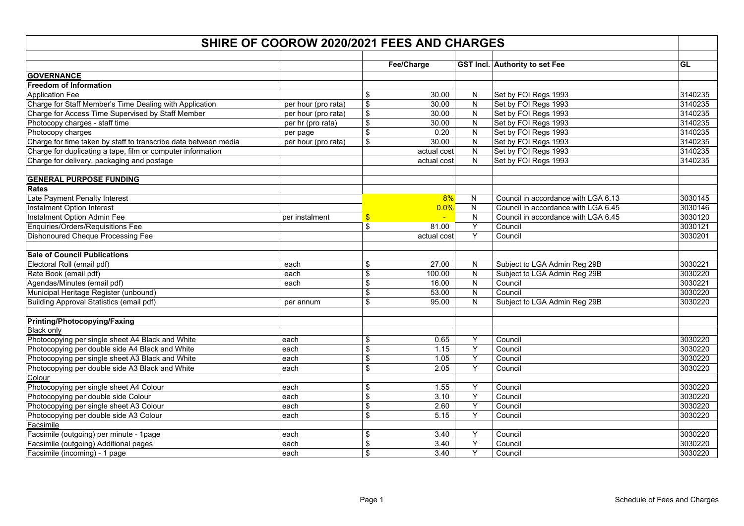|                                                                 | SHIRE OF COOROW 2020/2021 FEES AND CHARGES |                         |             |                         |                                       |         |  |  |  |  |
|-----------------------------------------------------------------|--------------------------------------------|-------------------------|-------------|-------------------------|---------------------------------------|---------|--|--|--|--|
|                                                                 |                                            |                         | Fee/Charge  |                         | <b>GST Incl. Authority to set Fee</b> | GL      |  |  |  |  |
| <b>GOVERNANCE</b>                                               |                                            |                         |             |                         |                                       |         |  |  |  |  |
| Freedom of Information                                          |                                            |                         |             |                         |                                       |         |  |  |  |  |
| <b>Application Fee</b>                                          |                                            | \$                      | 30.00       | N                       | Set by FOI Regs 1993                  | 3140235 |  |  |  |  |
| Charge for Staff Member's Time Dealing with Application         | per hour (pro rata)                        | \$                      | 30.00       | $\mathsf{N}$            | Set by FOI Regs 1993                  | 3140235 |  |  |  |  |
| Charge for Access Time Supervised by Staff Member               | per hour (pro rata)                        | $\sqrt[6]{2}$           | 30.00       | N                       | Set by FOI Regs 1993                  | 3140235 |  |  |  |  |
| Photocopy charges - staff time                                  | per hr (pro rata)                          | \$                      | 30.00       | N                       | Set by FOI Regs 1993                  | 3140235 |  |  |  |  |
| Photocopy charges                                               | per page                                   | $\overline{\mathbf{s}}$ | 0.20        | ${\sf N}$               | Set by FOI Regs 1993                  | 3140235 |  |  |  |  |
| Charge for time taken by staff to transcribe data between media | per hour (pro rata)                        | $\overline{\mathbf{s}}$ | 30.00       | $\overline{\mathsf{N}}$ | Set by FOI Regs 1993                  | 3140235 |  |  |  |  |
| Charge for duplicating a tape, film or computer information     |                                            |                         | actual cost | ${\sf N}$               | Set by FOI Regs 1993                  | 3140235 |  |  |  |  |
| Charge for delivery, packaging and postage                      |                                            |                         | actual cost | $\mathsf{N}$            | Set by FOI Regs 1993                  | 3140235 |  |  |  |  |
|                                                                 |                                            |                         |             |                         |                                       |         |  |  |  |  |
| <b>GENERAL PURPOSE FUNDING</b>                                  |                                            |                         |             |                         |                                       |         |  |  |  |  |
| <b>Rates</b>                                                    |                                            |                         |             |                         |                                       |         |  |  |  |  |
| Late Payment Penalty Interest                                   |                                            |                         | 8%          | N                       | Council in accordance with LGA 6.13   | 3030145 |  |  |  |  |
| Instalment Option Interest                                      |                                            |                         | 0.0%        | $\mathsf{N}$            | Council in accordance with LGA 6.45   | 3030146 |  |  |  |  |
| Instalment Option Admin Fee                                     | per instalment                             | \$                      |             | N                       | Council in accordance with LGA 6.45   | 3030120 |  |  |  |  |
| Enquiries/Orders/Requisitions Fee                               |                                            | \$                      | 81.00       | Y                       | Council                               | 3030121 |  |  |  |  |
| <b>Dishonoured Cheque Processing Fee</b>                        |                                            |                         | actual cost | Y                       | Council                               | 3030201 |  |  |  |  |
|                                                                 |                                            |                         |             |                         |                                       |         |  |  |  |  |
| <b>Sale of Council Publications</b>                             |                                            |                         |             |                         |                                       |         |  |  |  |  |
| Electoral Roll (email pdf)                                      | each                                       | \$                      | 27.00       | N                       | Subject to LGA Admin Reg 29B          | 3030221 |  |  |  |  |
| Rate Book (email pdf)                                           | each                                       | \$                      | 100.00      | N                       | Subject to LGA Admin Reg 29B          | 3030220 |  |  |  |  |
| Agendas/Minutes (email pdf)                                     | each                                       | \$                      | 16.00       | N                       | Council                               | 3030221 |  |  |  |  |
| Municipal Heritage Register (unbound)                           |                                            | \$                      | 53.00       | $\mathsf{N}$            | Council                               | 3030220 |  |  |  |  |
| Building Approval Statistics (email pdf)                        | per annum                                  | \$                      | 95.00       | N                       | Subject to LGA Admin Reg 29B          | 3030220 |  |  |  |  |
|                                                                 |                                            |                         |             |                         |                                       |         |  |  |  |  |
| Printing/Photocopying/Faxing                                    |                                            |                         |             |                         |                                       |         |  |  |  |  |
| <b>Black only</b>                                               |                                            |                         |             |                         |                                       |         |  |  |  |  |
| Photocopying per single sheet A4 Black and White                | each                                       | \$                      | 0.65        | Y                       | Council                               | 3030220 |  |  |  |  |
| Photocopying per double side A4 Black and White                 | each                                       | $\overline{\$}$         | 1.15        | Y                       | Council                               | 3030220 |  |  |  |  |
| Photocopying per single sheet A3 Black and White                | each                                       | \$                      | 1.05        | Y                       | Council                               | 3030220 |  |  |  |  |
| Photocopying per double side A3 Black and White                 | each                                       | \$                      | 2.05        | Y                       | Council                               | 3030220 |  |  |  |  |
| Colour                                                          |                                            |                         |             |                         |                                       |         |  |  |  |  |
| Photocopying per single sheet A4 Colour                         | each                                       | \$                      | 1.55        | Y                       | Council                               | 3030220 |  |  |  |  |
| Photocopying per double side Colour                             | each                                       | \$                      | 3.10        | $\overline{Y}$          | Council                               | 3030220 |  |  |  |  |
| Photocopying per single sheet A3 Colour                         | each                                       | \$                      | 2.60        | Y                       | Council                               | 3030220 |  |  |  |  |
| Photocopying per double side A3 Colour                          | each                                       | \$                      | 5.15        | Y                       | Council                               | 3030220 |  |  |  |  |
| Facsimile                                                       |                                            |                         |             |                         |                                       |         |  |  |  |  |
| Facsimile (outgoing) per minute - 1page                         | each                                       | \$                      | 3.40        | Y                       | Council                               | 3030220 |  |  |  |  |
| Facsimile (outgoing) Additional pages                           | each                                       | \$                      | 3.40        | Υ                       | Council                               | 3030220 |  |  |  |  |
| Facsimile (incoming) - 1 page                                   | each                                       | \$                      | 3.40        | Υ                       | Council                               | 3030220 |  |  |  |  |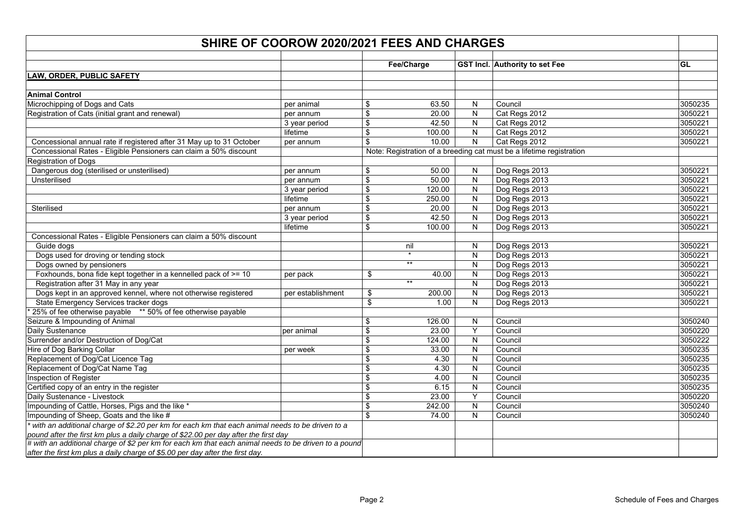| SHIRE OF COOROW 2020/2021 FEES AND CHARGES                                                           |                   |                         |                 |                         |                                                                      |           |  |  |
|------------------------------------------------------------------------------------------------------|-------------------|-------------------------|-----------------|-------------------------|----------------------------------------------------------------------|-----------|--|--|
|                                                                                                      |                   |                         | Fee/Charge      |                         | GST Incl. Authority to set Fee                                       | <b>GL</b> |  |  |
| <b>LAW, ORDER, PUBLIC SAFETY</b>                                                                     |                   |                         |                 |                         |                                                                      |           |  |  |
|                                                                                                      |                   |                         |                 |                         |                                                                      |           |  |  |
| <b>Animal Control</b>                                                                                |                   |                         |                 |                         |                                                                      |           |  |  |
| Microchipping of Dogs and Cats                                                                       | per animal        | \$                      | 63.50           | N                       | Council                                                              | 3050235   |  |  |
| Registration of Cats (initial grant and renewal)                                                     | per annum         | \$                      | 20.00           | N                       | Cat Regs 2012                                                        | 3050221   |  |  |
|                                                                                                      | 3 year period     | $\overline{\mathbb{S}}$ | 42.50           | ${\sf N}$               | Cat Regs 2012                                                        | 3050221   |  |  |
|                                                                                                      | lifetime          | $\sqrt{2}$              | 100.00          | $\mathsf{N}$            | Cat Regs 2012                                                        | 3050221   |  |  |
| Concessional annual rate if registered after 31 May up to 31 October                                 | per annum         | $\overline{\mathbf{3}}$ | 10.00           | $\overline{N}$          | Cat Regs 2012                                                        | 3050221   |  |  |
| Concessional Rates - Eligible Pensioners can claim a 50% discount                                    |                   |                         |                 |                         | Note: Registration of a breeding cat must be a lifetime registration |           |  |  |
| Registration of Dogs                                                                                 |                   |                         |                 |                         |                                                                      |           |  |  |
| Dangerous dog (sterilised or unsterilised)                                                           | per annum         | \$                      | 50.00           | N                       | Dog Regs 2013                                                        | 3050221   |  |  |
| Unsterilised                                                                                         | per annum         | $\overline{\mathbf{s}}$ | 50.00           | N                       | Dog Regs 2013                                                        | 3050221   |  |  |
|                                                                                                      | 3 year period     | \$                      | 120.00          | ${\sf N}$               | Dog Regs 2013                                                        | 3050221   |  |  |
|                                                                                                      | lifetime          | \$                      | 250.00          | $\mathsf{N}$            | Dog Regs 2013                                                        | 3050221   |  |  |
| Sterilised                                                                                           | per annum         | $\sqrt[6]{\frac{1}{2}}$ | 20.00           | ${\sf N}$               | Dog Regs 2013                                                        | 3050221   |  |  |
|                                                                                                      | 3 year period     | $\mathfrak{S}$          | 42.50           | ${\sf N}$               | Dog Regs 2013                                                        | 3050221   |  |  |
|                                                                                                      | lifetime          | $\mathfrak{S}$          | 100.00          | N                       | Dog Regs 2013                                                        | 3050221   |  |  |
| Concessional Rates - Eligible Pensioners can claim a 50% discount                                    |                   |                         |                 |                         |                                                                      |           |  |  |
| Guide dogs                                                                                           |                   |                         | nil             | N                       | Dog Regs 2013                                                        | 3050221   |  |  |
| Dogs used for droving or tending stock                                                               |                   |                         |                 | $\mathsf{N}$            | Dog Regs 2013                                                        | 3050221   |  |  |
| Dogs owned by pensioners                                                                             |                   |                         | $^{\star\star}$ | $\mathsf{N}$            | Dog Regs 2013                                                        | 3050221   |  |  |
| Foxhounds, bona fide kept together in a kennelled pack of >= 10                                      | per pack          | \$                      | 40.00           | ${\sf N}$               | Dog Regs 2013                                                        | 3050221   |  |  |
| Registration after 31 May in any year                                                                |                   |                         | $***$           | N                       | Dog Regs 2013                                                        | 3050221   |  |  |
| Dogs kept in an approved kennel, where not otherwise registered                                      | per establishment | \$                      | 200.00          | N                       | Dog Regs 2013                                                        | 3050221   |  |  |
| State Emergency Services tracker dogs                                                                |                   | \$                      | 1.00            | ${\sf N}$               | Dog Regs 2013                                                        | 3050221   |  |  |
| 25% of fee otherwise payable ** 50% of fee otherwise payable                                         |                   |                         |                 |                         |                                                                      |           |  |  |
| Seizure & Impounding of Animal                                                                       |                   | \$                      | 126.00          | ${\sf N}$               | Council                                                              | 3050240   |  |  |
| Daily Sustenance                                                                                     | per animal        | $\sqrt{2}$              | 23.00           | Υ                       | Council                                                              | 3050220   |  |  |
| Surrender and/or Destruction of Dog/Cat                                                              |                   | $\sqrt{2}$              | 124.00          | N                       | Council                                                              | 3050222   |  |  |
| Hire of Dog Barking Collar                                                                           | per week          | $\mathfrak{S}$          | 33.00           | N                       | Council                                                              | 3050235   |  |  |
| Replacement of Dog/Cat Licence Tag                                                                   |                   | \$                      | 4.30            | ${\sf N}$               | Council                                                              | 3050235   |  |  |
| Replacement of Dog/Cat Name Tag                                                                      |                   | $\sqrt{2}$              | 4.30            | $\overline{\mathsf{N}}$ | Council                                                              | 3050235   |  |  |
| Inspection of Register                                                                               |                   | \$                      | 4.00            | $\mathsf{N}$            | Council                                                              | 3050235   |  |  |
| Certified copy of an entry in the register                                                           |                   | $\sqrt{2}$              | 6.15            | ${\sf N}$               | Council                                                              | 3050235   |  |  |
| Daily Sustenance - Livestock                                                                         |                   | $\sqrt{2}$              | 23.00           | Υ                       | Council                                                              | 3050220   |  |  |
| Impounding of Cattle, Horses, Pigs and the like *                                                    |                   | $\mathfrak{S}$          | 242.00          | ${\sf N}$               | Council                                                              | 3050240   |  |  |
| Impounding of Sheep, Goats and the like #                                                            |                   | $\mathfrak{S}$          | 74.00           | ${\sf N}$               | Council                                                              | 3050240   |  |  |
| with an additional charge of \$2.20 per km for each km that each animal needs to be driven to a      |                   |                         |                 |                         |                                                                      |           |  |  |
| pound after the first km plus a daily charge of \$22.00 per day after the first day                  |                   |                         |                 |                         |                                                                      |           |  |  |
| # with an additional charge of \$2 per km for each km that each animal needs to be driven to a pound |                   |                         |                 |                         |                                                                      |           |  |  |
| after the first km plus a daily charge of \$5.00 per day after the first day.                        |                   |                         |                 |                         |                                                                      |           |  |  |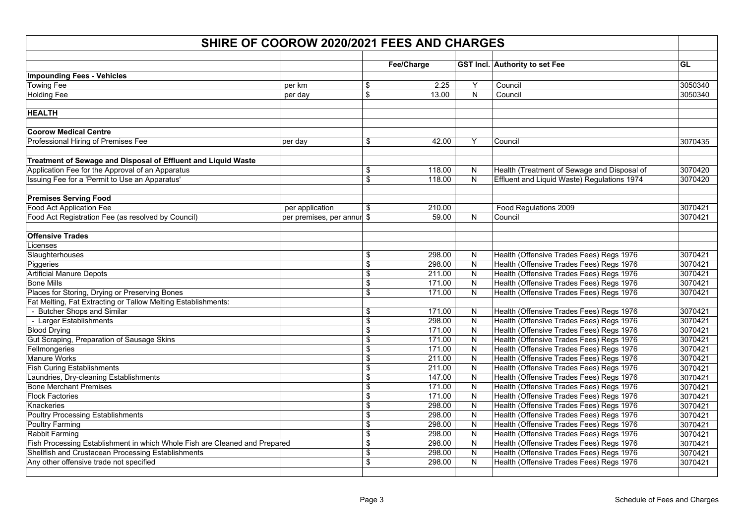| SHIRE OF COOROW 2020/2021 FEES AND CHARGES                                 |                            |    |            |           |                                             |           |  |  |
|----------------------------------------------------------------------------|----------------------------|----|------------|-----------|---------------------------------------------|-----------|--|--|
|                                                                            |                            |    | Fee/Charge |           | <b>GST Incl.</b> Authority to set Fee       | <b>GL</b> |  |  |
| <b>Impounding Fees - Vehicles</b>                                          |                            |    |            |           |                                             |           |  |  |
| <b>Towing Fee</b>                                                          | per km                     | \$ | 2.25       | Y         | Council                                     | 3050340   |  |  |
| <b>Holding Fee</b>                                                         | per day                    | \$ | 13.00      | N         | Council                                     | 3050340   |  |  |
|                                                                            |                            |    |            |           |                                             |           |  |  |
| <b>HEALTH</b>                                                              |                            |    |            |           |                                             |           |  |  |
| <b>Coorow Medical Centre</b>                                               |                            |    |            |           |                                             |           |  |  |
| Professional Hiring of Premises Fee                                        | per day                    | \$ | 42.00      | Y         | Council                                     | 3070435   |  |  |
| Treatment of Sewage and Disposal of Effluent and Liquid Waste              |                            |    |            |           |                                             |           |  |  |
| Application Fee for the Approval of an Apparatus                           |                            | \$ | 118.00     | N         | Health (Treatment of Sewage and Disposal of | 3070420   |  |  |
| Issuing Fee for a 'Permit to Use an Apparatus'                             |                            | \$ | 118.00     | N         | Effluent and Liquid Waste) Regulations 1974 | 3070420   |  |  |
| <b>Premises Serving Food</b>                                               |                            |    |            |           |                                             |           |  |  |
| Food Act Application Fee                                                   | per application            | \$ | 210.00     |           | Food Regulations 2009                       | 3070421   |  |  |
| Food Act Registration Fee (as resolved by Council)                         | per premises, per annur \$ |    | 59.00      | N         | Council                                     | 3070421   |  |  |
| <b>Offensive Trades</b>                                                    |                            |    |            |           |                                             |           |  |  |
| .icenses                                                                   |                            |    |            |           |                                             |           |  |  |
| Slaughterhouses                                                            |                            | \$ | 298.00     | N         | Health (Offensive Trades Fees) Regs 1976    | 3070421   |  |  |
| Piggeries                                                                  |                            | \$ | 298.00     | N         | Health (Offensive Trades Fees) Regs 1976    | 3070421   |  |  |
| <b>Artificial Manure Depots</b>                                            |                            | \$ | 211.00     | ${\sf N}$ | Health (Offensive Trades Fees) Regs 1976    | 3070421   |  |  |
| <b>Bone Mills</b>                                                          |                            | \$ | 171.00     | N         | Health (Offensive Trades Fees) Regs 1976    | 3070421   |  |  |
| Places for Storing, Drying or Preserving Bones                             |                            | \$ | 171.00     | N         | Health (Offensive Trades Fees) Regs 1976    | 3070421   |  |  |
| Fat Melting, Fat Extracting or Tallow Melting Establishments:              |                            |    |            |           |                                             |           |  |  |
| - Butcher Shops and Similar                                                |                            | \$ | 171.00     | N         | Health (Offensive Trades Fees) Regs 1976    | 3070421   |  |  |
| - Larger Establishments                                                    |                            | \$ | 298.00     | N         | Health (Offensive Trades Fees) Regs 1976    | 3070421   |  |  |
| <b>Blood Drying</b>                                                        |                            | \$ | 171.00     | ${\sf N}$ | Health (Offensive Trades Fees) Regs 1976    | 3070421   |  |  |
| Gut Scraping, Preparation of Sausage Skins                                 |                            | \$ | 171.00     | N         | Health (Offensive Trades Fees) Regs 1976    | 3070421   |  |  |
| Fellmongeries                                                              |                            | \$ | 171.00     | N         | Health (Offensive Trades Fees) Regs 1976    | 3070421   |  |  |
| <b>Manure Works</b>                                                        |                            | \$ | 211.00     | N         | Health (Offensive Trades Fees) Regs 1976    | 3070421   |  |  |
| <b>Fish Curing Establishments</b>                                          |                            | \$ | 211.00     | N         | Health (Offensive Trades Fees) Regs 1976    | 3070421   |  |  |
| aundries, Dry-cleaning Establishments                                      |                            | \$ | 147.00     | ${\sf N}$ | Health (Offensive Trades Fees) Regs 1976    | 3070421   |  |  |
| <b>Bone Merchant Premises</b>                                              |                            | \$ | 171.00     | N         | Health (Offensive Trades Fees) Regs 1976    | 3070421   |  |  |
| <b>Flock Factories</b>                                                     |                            | \$ | 171.00     | ${\sf N}$ | Health (Offensive Trades Fees) Regs 1976    | 3070421   |  |  |
| Knackeries                                                                 |                            | \$ | 298.00     | N         | Health (Offensive Trades Fees) Regs 1976    | 3070421   |  |  |
| Poultry Processing Establishments                                          |                            | \$ | 298.00     | N         | Health (Offensive Trades Fees) Regs 1976    | 3070421   |  |  |
| <b>Poultry Farming</b>                                                     |                            | \$ | 298.00     | N         | Health (Offensive Trades Fees) Regs 1976    | 3070421   |  |  |
| Rabbit Farming                                                             |                            | \$ | 298.00     | ${\sf N}$ | Health (Offensive Trades Fees) Regs 1976    | 3070421   |  |  |
| Fish Processing Establishment in which Whole Fish are Cleaned and Prepared |                            | \$ | 298.00     | ${\sf N}$ | Health (Offensive Trades Fees) Regs 1976    | 3070421   |  |  |
| Shellfish and Crustacean Processing Establishments                         |                            | \$ | 298.00     | ${\sf N}$ | Health (Offensive Trades Fees) Regs 1976    | 3070421   |  |  |
| Any other offensive trade not specified                                    |                            | \$ | 298.00     | N         | Health (Offensive Trades Fees) Regs 1976    | 3070421   |  |  |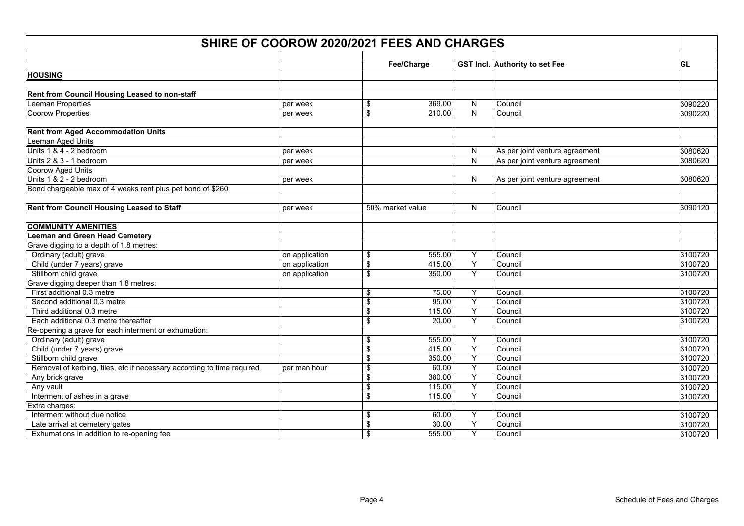| SHIRE OF COOROW 2020/2021 FEES AND CHARGES                             |                |                         |                  |                                       |                                |         |  |  |  |
|------------------------------------------------------------------------|----------------|-------------------------|------------------|---------------------------------------|--------------------------------|---------|--|--|--|
|                                                                        | Fee/Charge     |                         |                  | <b>GST Incl.</b> Authority to set Fee | GL                             |         |  |  |  |
| <b>HOUSING</b>                                                         |                |                         |                  |                                       |                                |         |  |  |  |
|                                                                        |                |                         |                  |                                       |                                |         |  |  |  |
| Rent from Council Housing Leased to non-staff                          |                |                         |                  |                                       |                                |         |  |  |  |
| Leeman Properties                                                      | per week       | \$                      | 369.00           | N                                     | Council                        | 3090220 |  |  |  |
| <b>Coorow Properties</b>                                               | per week       | \$                      | 210.00           | $\mathsf{N}$                          | Council                        | 3090220 |  |  |  |
| <b>Rent from Aged Accommodation Units</b>                              |                |                         |                  |                                       |                                |         |  |  |  |
| Leeman Aged Units                                                      |                |                         |                  |                                       |                                |         |  |  |  |
| Units 1 & 4 - 2 bedroom                                                | per week       |                         |                  | N                                     | As per joint venture agreement | 3080620 |  |  |  |
| Units 2 & 3 - 1 bedroom                                                | per week       |                         |                  | ${\sf N}$                             | As per joint venture agreement | 3080620 |  |  |  |
| <b>Coorow Aged Units</b>                                               |                |                         |                  |                                       |                                |         |  |  |  |
| Units 1 & 2 - 2 bedroom                                                | per week       |                         |                  | N                                     | As per joint venture agreement | 3080620 |  |  |  |
| Bond chargeable max of 4 weeks rent plus pet bond of \$260             |                |                         |                  |                                       |                                |         |  |  |  |
| Rent from Council Housing Leased to Staff                              | per week       |                         | 50% market value | N                                     | Council                        | 3090120 |  |  |  |
| <b>COMMUNITY AMENITIES</b>                                             |                |                         |                  |                                       |                                |         |  |  |  |
| <b>Leeman and Green Head Cemetery</b>                                  |                |                         |                  |                                       |                                |         |  |  |  |
| Grave digging to a depth of 1.8 metres:                                |                |                         |                  |                                       |                                |         |  |  |  |
| Ordinary (adult) grave                                                 | on application | \$                      | 555.00           | Y                                     | Council                        | 3100720 |  |  |  |
| Child (under 7 years) grave                                            | on application | $\overline{\mathbf{s}}$ | 415.00           | Υ                                     | Council                        | 3100720 |  |  |  |
| Stillborn child grave                                                  | on application | \$                      | 350.00           | Y                                     | Council                        | 3100720 |  |  |  |
| Grave digging deeper than 1.8 metres:                                  |                |                         |                  |                                       |                                |         |  |  |  |
| First additional 0.3 metre                                             |                | \$                      | 75.00            | Y                                     | Council                        | 3100720 |  |  |  |
| Second additional 0.3 metre                                            |                | $\overline{\mathbf{s}}$ | 95.00            | Y                                     | Council                        | 3100720 |  |  |  |
| Third additional 0.3 metre                                             |                | \$                      | 115.00           | Υ                                     | Council                        | 3100720 |  |  |  |
| Each additional 0.3 metre thereafter                                   |                | $\mathfrak s$           | 20.00            | Y                                     | Council                        | 3100720 |  |  |  |
| Re-opening a grave for each interment or exhumation:                   |                |                         |                  |                                       |                                |         |  |  |  |
| Ordinary (adult) grave                                                 |                | \$                      | 555.00           | Y                                     | Council                        | 3100720 |  |  |  |
| Child (under 7 years) grave                                            |                | $\sqrt[6]{\frac{1}{2}}$ | 415.00           | Y                                     | Council                        | 3100720 |  |  |  |
| Stillborn child grave                                                  |                | \$                      | 350.00           | Y                                     | Council                        | 3100720 |  |  |  |
| Removal of kerbing, tiles, etc if necessary according to time required | per man hour   | \$                      | 60.00            | Υ                                     | Council                        | 3100720 |  |  |  |
| Any brick grave                                                        |                | \$                      | 380.00           | Υ                                     | Council                        | 3100720 |  |  |  |
| Any vault                                                              |                | $\sqrt[6]{\frac{1}{2}}$ | 115.00           | Υ                                     | Council                        | 3100720 |  |  |  |
| Interment of ashes in a grave                                          |                | \$                      | 115.00           | Y                                     | Council                        | 3100720 |  |  |  |
| Extra charges:                                                         |                |                         |                  |                                       |                                |         |  |  |  |
| Interment without due notice                                           |                | \$                      | 60.00            | Y                                     | Council                        | 3100720 |  |  |  |
| Late arrival at cemetery gates                                         |                | \$                      | 30.00            | Υ                                     | Council                        | 3100720 |  |  |  |
| Exhumations in addition to re-opening fee                              |                | \$                      | 555.00           | Y                                     | Council                        | 3100720 |  |  |  |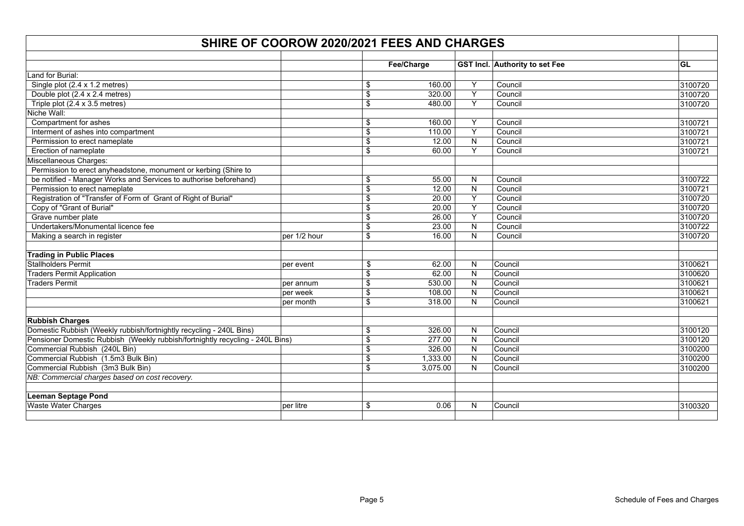| SHIRE OF COOROW 2020/2021 FEES AND CHARGES                                    |              |                         |            |                |                                |           |  |  |  |
|-------------------------------------------------------------------------------|--------------|-------------------------|------------|----------------|--------------------------------|-----------|--|--|--|
|                                                                               |              |                         |            |                |                                |           |  |  |  |
|                                                                               |              |                         | Fee/Charge |                | GST Incl. Authority to set Fee | <b>GL</b> |  |  |  |
| Land for Burial:                                                              |              |                         |            |                |                                |           |  |  |  |
| Single plot (2.4 x 1.2 metres)                                                |              | \$                      | 160.00     | Υ              | Council                        | 3100720   |  |  |  |
| Double plot (2.4 x 2.4 metres)                                                |              | $\overline{\mathbf{S}}$ | 320.00     | $\overline{Y}$ | Council                        | 3100720   |  |  |  |
| Triple plot (2.4 x 3.5 metres)                                                |              | \$                      | 480.00     | Y              | Council                        | 3100720   |  |  |  |
| Niche Wall:                                                                   |              |                         |            |                |                                |           |  |  |  |
| Compartment for ashes                                                         |              | \$                      | 160.00     | Y              | Council                        | 3100721   |  |  |  |
| Interment of ashes into compartment                                           |              | \$                      | 110.00     | Y              | Council                        | 3100721   |  |  |  |
| Permission to erect nameplate                                                 |              | \$                      | 12.00      | $\mathsf{N}$   | Council                        | 3100721   |  |  |  |
| Erection of nameplate                                                         |              | \$                      | 60.00      | Y              | Council                        | 3100721   |  |  |  |
| Miscellaneous Charges:                                                        |              |                         |            |                |                                |           |  |  |  |
| Permission to erect anyheadstone, monument or kerbing (Shire to               |              |                         |            |                |                                |           |  |  |  |
| be notified - Manager Works and Services to authorise beforehand)             |              | \$                      | 55.00      | N              | Council                        | 3100722   |  |  |  |
| Permission to erect nameplate                                                 |              | \$                      | 12.00      | $\mathsf{N}$   | Council                        | 3100721   |  |  |  |
| Registration of "Transfer of Form of Grant of Right of Burial"                |              | \$                      | 20.00      | $\overline{Y}$ | Council                        | 3100720   |  |  |  |
| Copy of "Grant of Burial"                                                     |              | \$                      | 20.00      | Υ              | Council                        | 3100720   |  |  |  |
| Grave number plate                                                            |              | \$                      | 26.00      | Y              | Council                        | 3100720   |  |  |  |
| Undertakers/Monumental licence fee                                            |              | \$                      | 23.00      | $\mathsf{N}$   | Council                        | 3100722   |  |  |  |
| Making a search in register                                                   | per 1/2 hour | \$                      | 16.00      | $\mathsf{N}$   | Council                        | 3100720   |  |  |  |
| <b>Trading in Public Places</b>                                               |              |                         |            |                |                                |           |  |  |  |
| <b>Stallholders Permit</b>                                                    | per event    | \$                      | 62.00      | N              | Council                        | 3100621   |  |  |  |
| <b>Traders Permit Application</b>                                             |              | \$                      | 62.00      | N              | Council                        | 3100620   |  |  |  |
| <b>Traders Permit</b>                                                         | per annum    | \$                      | 530.00     | N              | Council                        | 3100621   |  |  |  |
|                                                                               | per week     | \$                      | 108.00     | N              | Council                        | 3100621   |  |  |  |
|                                                                               | per month    | \$                      | 318.00     | N              | Council                        | 3100621   |  |  |  |
| <b>Rubbish Charges</b>                                                        |              |                         |            |                |                                |           |  |  |  |
| Domestic Rubbish (Weekly rubbish/fortnightly recycling - 240L Bins)           |              | \$                      | 326.00     | N              | Council                        | 3100120   |  |  |  |
| Pensioner Domestic Rubbish (Weekly rubbish/fortnightly recycling - 240L Bins) |              | $\overline{\mathbf{S}}$ | 277.00     | $\mathsf{N}$   | Council                        | 3100120   |  |  |  |
| Commercial Rubbish (240L Bin)                                                 |              | \$                      | 326.00     | N              | Council                        | 3100200   |  |  |  |
| Commercial Rubbish (1.5m3 Bulk Bin)                                           |              | $\overline{\mathbf{S}}$ | 1,333.00   | ${\sf N}$      | Council                        | 3100200   |  |  |  |
| Commercial Rubbish (3m3 Bulk Bin)                                             |              | \$                      | 3,075.00   | $\mathsf{N}$   | Council                        | 3100200   |  |  |  |
| NB: Commercial charges based on cost recovery.                                |              |                         |            |                |                                |           |  |  |  |
| <b>Leeman Septage Pond</b>                                                    |              |                         |            |                |                                |           |  |  |  |
| <b>Waste Water Charges</b>                                                    | per litre    | \$                      | 0.06       | N              | Council                        | 3100320   |  |  |  |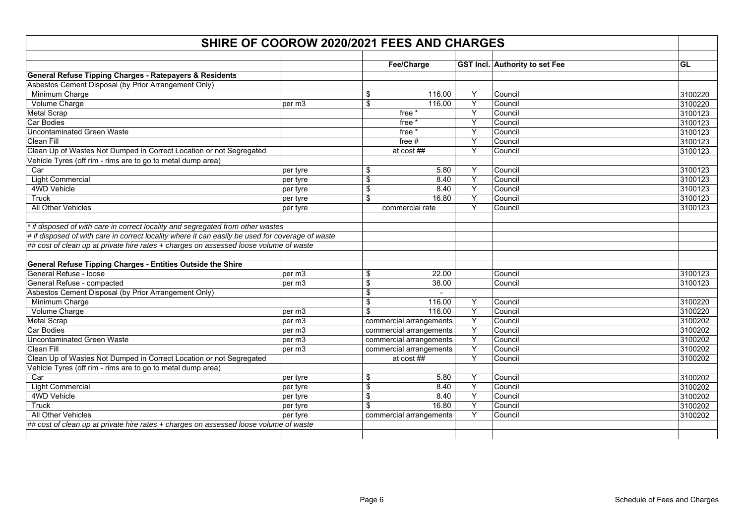| <b>GST Incl.</b> Authority to set Fee<br>Fee/Charge<br><b>GL</b><br>Minimum Charge<br>116.00<br>Y<br>Council<br>\$<br>3100220<br>Y<br>Volume Charge<br>\$<br>Council<br>3100220<br>116.00<br>per m3<br>Y<br>free *<br>Council<br>3100123<br>Y<br>3100123<br>free *<br>Council<br>Y<br>free <sup>*</sup><br>Council<br>3100123<br>Υ<br>3100123<br>free $#$<br>Council<br>Y<br>at cost ##<br>Council<br>3100123<br>Y<br>Council<br>\$<br>5.80<br>3100123<br>Car<br>per tyre<br><b>Light Commercial</b><br>Υ<br>\$<br>8.40<br>Council<br>3100123<br>per tyre<br>4WD Vehicle<br>Y<br>\$<br>8.40<br>Council<br>3100123<br>per tyre<br>Υ<br>Truck<br>3100123<br>\$<br>16.80<br>Council<br>per tyre<br>All Other Vehicles<br>Y<br>Council<br>3100123<br>commercial rate<br>per tyre<br>* if disposed of with care in correct locality and segregated from other wastes<br># if disposed of with care in correct locality where it can easily be used for coverage of waste<br>## cost of clean up at private hire rates + charges on assessed loose volume of waste<br>per m3<br>\$<br>22.00<br>Council<br>3100123<br>\$<br>38.00<br>Council<br>per m3<br>3100123<br>Asbestos Cement Disposal (by Prior Arrangement Only)<br>\$<br>Minimum Charge<br>\$<br>Y<br>116.00<br>Council<br>3100220<br>Υ<br>\$<br>Council<br>3100220<br>Volume Charge<br>116.00<br>per m3<br>$\overline{Y}$<br>commercial arrangements<br>per m3<br>Council<br>3100202<br>Y<br>3100202<br>commercial arrangements<br>Council<br>per m3<br>$\overline{Y}$<br>commercial arrangements<br>Council<br>per m3<br>3100202<br>Υ<br>3100202<br>per m3<br>commercial arrangements<br>Council<br>Clean Up of Wastes Not Dumped in Correct Location or not Segregated<br>Y<br>at cost ##<br>Council<br>3100202<br>Vehicle Tyres (off rim - rims are to go to metal dump area)<br>Y<br>Car<br>5.80<br>Council<br>3100202<br>per tyre<br>\$<br>Y<br><b>Light Commercial</b><br>\$<br>Council<br>3100202<br>8.40<br>per tyre<br>Y<br>4WD Vehicle<br>\$<br>8.40<br>Council<br>3100202<br>per tyre<br>Y<br>\$<br>16.80<br>3100202<br>Truck<br>Council<br>per tyre<br>Y<br>All Other Vehicles<br>commercial arrangements<br>Council<br>per tyre<br>3100202<br>## cost of clean up at private hire rates + charges on assessed loose volume of waste | SHIRE OF COOROW 2020/2021 FEES AND CHARGES                          |  |  |  |  |  |  |  |  |
|------------------------------------------------------------------------------------------------------------------------------------------------------------------------------------------------------------------------------------------------------------------------------------------------------------------------------------------------------------------------------------------------------------------------------------------------------------------------------------------------------------------------------------------------------------------------------------------------------------------------------------------------------------------------------------------------------------------------------------------------------------------------------------------------------------------------------------------------------------------------------------------------------------------------------------------------------------------------------------------------------------------------------------------------------------------------------------------------------------------------------------------------------------------------------------------------------------------------------------------------------------------------------------------------------------------------------------------------------------------------------------------------------------------------------------------------------------------------------------------------------------------------------------------------------------------------------------------------------------------------------------------------------------------------------------------------------------------------------------------------------------------------------------------------------------------------------------------------------------------------------------------------------------------------------------------------------------------------------------------------------------------------------------------------------------------------------------------------------------------------------------------------------------------------------------------------------------------------------------------------------------------------------------------------------|---------------------------------------------------------------------|--|--|--|--|--|--|--|--|
|                                                                                                                                                                                                                                                                                                                                                                                                                                                                                                                                                                                                                                                                                                                                                                                                                                                                                                                                                                                                                                                                                                                                                                                                                                                                                                                                                                                                                                                                                                                                                                                                                                                                                                                                                                                                                                                                                                                                                                                                                                                                                                                                                                                                                                                                                                      |                                                                     |  |  |  |  |  |  |  |  |
|                                                                                                                                                                                                                                                                                                                                                                                                                                                                                                                                                                                                                                                                                                                                                                                                                                                                                                                                                                                                                                                                                                                                                                                                                                                                                                                                                                                                                                                                                                                                                                                                                                                                                                                                                                                                                                                                                                                                                                                                                                                                                                                                                                                                                                                                                                      |                                                                     |  |  |  |  |  |  |  |  |
|                                                                                                                                                                                                                                                                                                                                                                                                                                                                                                                                                                                                                                                                                                                                                                                                                                                                                                                                                                                                                                                                                                                                                                                                                                                                                                                                                                                                                                                                                                                                                                                                                                                                                                                                                                                                                                                                                                                                                                                                                                                                                                                                                                                                                                                                                                      | General Refuse Tipping Charges - Ratepayers & Residents             |  |  |  |  |  |  |  |  |
|                                                                                                                                                                                                                                                                                                                                                                                                                                                                                                                                                                                                                                                                                                                                                                                                                                                                                                                                                                                                                                                                                                                                                                                                                                                                                                                                                                                                                                                                                                                                                                                                                                                                                                                                                                                                                                                                                                                                                                                                                                                                                                                                                                                                                                                                                                      | Asbestos Cement Disposal (by Prior Arrangement Only)                |  |  |  |  |  |  |  |  |
|                                                                                                                                                                                                                                                                                                                                                                                                                                                                                                                                                                                                                                                                                                                                                                                                                                                                                                                                                                                                                                                                                                                                                                                                                                                                                                                                                                                                                                                                                                                                                                                                                                                                                                                                                                                                                                                                                                                                                                                                                                                                                                                                                                                                                                                                                                      |                                                                     |  |  |  |  |  |  |  |  |
|                                                                                                                                                                                                                                                                                                                                                                                                                                                                                                                                                                                                                                                                                                                                                                                                                                                                                                                                                                                                                                                                                                                                                                                                                                                                                                                                                                                                                                                                                                                                                                                                                                                                                                                                                                                                                                                                                                                                                                                                                                                                                                                                                                                                                                                                                                      |                                                                     |  |  |  |  |  |  |  |  |
|                                                                                                                                                                                                                                                                                                                                                                                                                                                                                                                                                                                                                                                                                                                                                                                                                                                                                                                                                                                                                                                                                                                                                                                                                                                                                                                                                                                                                                                                                                                                                                                                                                                                                                                                                                                                                                                                                                                                                                                                                                                                                                                                                                                                                                                                                                      | <b>Metal Scrap</b>                                                  |  |  |  |  |  |  |  |  |
|                                                                                                                                                                                                                                                                                                                                                                                                                                                                                                                                                                                                                                                                                                                                                                                                                                                                                                                                                                                                                                                                                                                                                                                                                                                                                                                                                                                                                                                                                                                                                                                                                                                                                                                                                                                                                                                                                                                                                                                                                                                                                                                                                                                                                                                                                                      | <b>Car Bodies</b>                                                   |  |  |  |  |  |  |  |  |
|                                                                                                                                                                                                                                                                                                                                                                                                                                                                                                                                                                                                                                                                                                                                                                                                                                                                                                                                                                                                                                                                                                                                                                                                                                                                                                                                                                                                                                                                                                                                                                                                                                                                                                                                                                                                                                                                                                                                                                                                                                                                                                                                                                                                                                                                                                      | <b>Uncontaminated Green Waste</b>                                   |  |  |  |  |  |  |  |  |
|                                                                                                                                                                                                                                                                                                                                                                                                                                                                                                                                                                                                                                                                                                                                                                                                                                                                                                                                                                                                                                                                                                                                                                                                                                                                                                                                                                                                                                                                                                                                                                                                                                                                                                                                                                                                                                                                                                                                                                                                                                                                                                                                                                                                                                                                                                      | Clean Fill                                                          |  |  |  |  |  |  |  |  |
|                                                                                                                                                                                                                                                                                                                                                                                                                                                                                                                                                                                                                                                                                                                                                                                                                                                                                                                                                                                                                                                                                                                                                                                                                                                                                                                                                                                                                                                                                                                                                                                                                                                                                                                                                                                                                                                                                                                                                                                                                                                                                                                                                                                                                                                                                                      | Clean Up of Wastes Not Dumped in Correct Location or not Segregated |  |  |  |  |  |  |  |  |
|                                                                                                                                                                                                                                                                                                                                                                                                                                                                                                                                                                                                                                                                                                                                                                                                                                                                                                                                                                                                                                                                                                                                                                                                                                                                                                                                                                                                                                                                                                                                                                                                                                                                                                                                                                                                                                                                                                                                                                                                                                                                                                                                                                                                                                                                                                      | Vehicle Tyres (off rim - rims are to go to metal dump area)         |  |  |  |  |  |  |  |  |
|                                                                                                                                                                                                                                                                                                                                                                                                                                                                                                                                                                                                                                                                                                                                                                                                                                                                                                                                                                                                                                                                                                                                                                                                                                                                                                                                                                                                                                                                                                                                                                                                                                                                                                                                                                                                                                                                                                                                                                                                                                                                                                                                                                                                                                                                                                      |                                                                     |  |  |  |  |  |  |  |  |
|                                                                                                                                                                                                                                                                                                                                                                                                                                                                                                                                                                                                                                                                                                                                                                                                                                                                                                                                                                                                                                                                                                                                                                                                                                                                                                                                                                                                                                                                                                                                                                                                                                                                                                                                                                                                                                                                                                                                                                                                                                                                                                                                                                                                                                                                                                      |                                                                     |  |  |  |  |  |  |  |  |
|                                                                                                                                                                                                                                                                                                                                                                                                                                                                                                                                                                                                                                                                                                                                                                                                                                                                                                                                                                                                                                                                                                                                                                                                                                                                                                                                                                                                                                                                                                                                                                                                                                                                                                                                                                                                                                                                                                                                                                                                                                                                                                                                                                                                                                                                                                      |                                                                     |  |  |  |  |  |  |  |  |
|                                                                                                                                                                                                                                                                                                                                                                                                                                                                                                                                                                                                                                                                                                                                                                                                                                                                                                                                                                                                                                                                                                                                                                                                                                                                                                                                                                                                                                                                                                                                                                                                                                                                                                                                                                                                                                                                                                                                                                                                                                                                                                                                                                                                                                                                                                      |                                                                     |  |  |  |  |  |  |  |  |
|                                                                                                                                                                                                                                                                                                                                                                                                                                                                                                                                                                                                                                                                                                                                                                                                                                                                                                                                                                                                                                                                                                                                                                                                                                                                                                                                                                                                                                                                                                                                                                                                                                                                                                                                                                                                                                                                                                                                                                                                                                                                                                                                                                                                                                                                                                      |                                                                     |  |  |  |  |  |  |  |  |
|                                                                                                                                                                                                                                                                                                                                                                                                                                                                                                                                                                                                                                                                                                                                                                                                                                                                                                                                                                                                                                                                                                                                                                                                                                                                                                                                                                                                                                                                                                                                                                                                                                                                                                                                                                                                                                                                                                                                                                                                                                                                                                                                                                                                                                                                                                      |                                                                     |  |  |  |  |  |  |  |  |
|                                                                                                                                                                                                                                                                                                                                                                                                                                                                                                                                                                                                                                                                                                                                                                                                                                                                                                                                                                                                                                                                                                                                                                                                                                                                                                                                                                                                                                                                                                                                                                                                                                                                                                                                                                                                                                                                                                                                                                                                                                                                                                                                                                                                                                                                                                      |                                                                     |  |  |  |  |  |  |  |  |
|                                                                                                                                                                                                                                                                                                                                                                                                                                                                                                                                                                                                                                                                                                                                                                                                                                                                                                                                                                                                                                                                                                                                                                                                                                                                                                                                                                                                                                                                                                                                                                                                                                                                                                                                                                                                                                                                                                                                                                                                                                                                                                                                                                                                                                                                                                      |                                                                     |  |  |  |  |  |  |  |  |
|                                                                                                                                                                                                                                                                                                                                                                                                                                                                                                                                                                                                                                                                                                                                                                                                                                                                                                                                                                                                                                                                                                                                                                                                                                                                                                                                                                                                                                                                                                                                                                                                                                                                                                                                                                                                                                                                                                                                                                                                                                                                                                                                                                                                                                                                                                      |                                                                     |  |  |  |  |  |  |  |  |
|                                                                                                                                                                                                                                                                                                                                                                                                                                                                                                                                                                                                                                                                                                                                                                                                                                                                                                                                                                                                                                                                                                                                                                                                                                                                                                                                                                                                                                                                                                                                                                                                                                                                                                                                                                                                                                                                                                                                                                                                                                                                                                                                                                                                                                                                                                      |                                                                     |  |  |  |  |  |  |  |  |
|                                                                                                                                                                                                                                                                                                                                                                                                                                                                                                                                                                                                                                                                                                                                                                                                                                                                                                                                                                                                                                                                                                                                                                                                                                                                                                                                                                                                                                                                                                                                                                                                                                                                                                                                                                                                                                                                                                                                                                                                                                                                                                                                                                                                                                                                                                      | General Refuse Tipping Charges - Entities Outside the Shire         |  |  |  |  |  |  |  |  |
|                                                                                                                                                                                                                                                                                                                                                                                                                                                                                                                                                                                                                                                                                                                                                                                                                                                                                                                                                                                                                                                                                                                                                                                                                                                                                                                                                                                                                                                                                                                                                                                                                                                                                                                                                                                                                                                                                                                                                                                                                                                                                                                                                                                                                                                                                                      | General Refuse - loose                                              |  |  |  |  |  |  |  |  |
|                                                                                                                                                                                                                                                                                                                                                                                                                                                                                                                                                                                                                                                                                                                                                                                                                                                                                                                                                                                                                                                                                                                                                                                                                                                                                                                                                                                                                                                                                                                                                                                                                                                                                                                                                                                                                                                                                                                                                                                                                                                                                                                                                                                                                                                                                                      | General Refuse - compacted                                          |  |  |  |  |  |  |  |  |
|                                                                                                                                                                                                                                                                                                                                                                                                                                                                                                                                                                                                                                                                                                                                                                                                                                                                                                                                                                                                                                                                                                                                                                                                                                                                                                                                                                                                                                                                                                                                                                                                                                                                                                                                                                                                                                                                                                                                                                                                                                                                                                                                                                                                                                                                                                      |                                                                     |  |  |  |  |  |  |  |  |
|                                                                                                                                                                                                                                                                                                                                                                                                                                                                                                                                                                                                                                                                                                                                                                                                                                                                                                                                                                                                                                                                                                                                                                                                                                                                                                                                                                                                                                                                                                                                                                                                                                                                                                                                                                                                                                                                                                                                                                                                                                                                                                                                                                                                                                                                                                      |                                                                     |  |  |  |  |  |  |  |  |
|                                                                                                                                                                                                                                                                                                                                                                                                                                                                                                                                                                                                                                                                                                                                                                                                                                                                                                                                                                                                                                                                                                                                                                                                                                                                                                                                                                                                                                                                                                                                                                                                                                                                                                                                                                                                                                                                                                                                                                                                                                                                                                                                                                                                                                                                                                      |                                                                     |  |  |  |  |  |  |  |  |
|                                                                                                                                                                                                                                                                                                                                                                                                                                                                                                                                                                                                                                                                                                                                                                                                                                                                                                                                                                                                                                                                                                                                                                                                                                                                                                                                                                                                                                                                                                                                                                                                                                                                                                                                                                                                                                                                                                                                                                                                                                                                                                                                                                                                                                                                                                      | <b>Metal Scrap</b>                                                  |  |  |  |  |  |  |  |  |
|                                                                                                                                                                                                                                                                                                                                                                                                                                                                                                                                                                                                                                                                                                                                                                                                                                                                                                                                                                                                                                                                                                                                                                                                                                                                                                                                                                                                                                                                                                                                                                                                                                                                                                                                                                                                                                                                                                                                                                                                                                                                                                                                                                                                                                                                                                      | Car Bodies                                                          |  |  |  |  |  |  |  |  |
|                                                                                                                                                                                                                                                                                                                                                                                                                                                                                                                                                                                                                                                                                                                                                                                                                                                                                                                                                                                                                                                                                                                                                                                                                                                                                                                                                                                                                                                                                                                                                                                                                                                                                                                                                                                                                                                                                                                                                                                                                                                                                                                                                                                                                                                                                                      | <b>Uncontaminated Green Waste</b>                                   |  |  |  |  |  |  |  |  |
|                                                                                                                                                                                                                                                                                                                                                                                                                                                                                                                                                                                                                                                                                                                                                                                                                                                                                                                                                                                                                                                                                                                                                                                                                                                                                                                                                                                                                                                                                                                                                                                                                                                                                                                                                                                                                                                                                                                                                                                                                                                                                                                                                                                                                                                                                                      | <b>Clean Fill</b>                                                   |  |  |  |  |  |  |  |  |
|                                                                                                                                                                                                                                                                                                                                                                                                                                                                                                                                                                                                                                                                                                                                                                                                                                                                                                                                                                                                                                                                                                                                                                                                                                                                                                                                                                                                                                                                                                                                                                                                                                                                                                                                                                                                                                                                                                                                                                                                                                                                                                                                                                                                                                                                                                      |                                                                     |  |  |  |  |  |  |  |  |
|                                                                                                                                                                                                                                                                                                                                                                                                                                                                                                                                                                                                                                                                                                                                                                                                                                                                                                                                                                                                                                                                                                                                                                                                                                                                                                                                                                                                                                                                                                                                                                                                                                                                                                                                                                                                                                                                                                                                                                                                                                                                                                                                                                                                                                                                                                      |                                                                     |  |  |  |  |  |  |  |  |
|                                                                                                                                                                                                                                                                                                                                                                                                                                                                                                                                                                                                                                                                                                                                                                                                                                                                                                                                                                                                                                                                                                                                                                                                                                                                                                                                                                                                                                                                                                                                                                                                                                                                                                                                                                                                                                                                                                                                                                                                                                                                                                                                                                                                                                                                                                      |                                                                     |  |  |  |  |  |  |  |  |
|                                                                                                                                                                                                                                                                                                                                                                                                                                                                                                                                                                                                                                                                                                                                                                                                                                                                                                                                                                                                                                                                                                                                                                                                                                                                                                                                                                                                                                                                                                                                                                                                                                                                                                                                                                                                                                                                                                                                                                                                                                                                                                                                                                                                                                                                                                      |                                                                     |  |  |  |  |  |  |  |  |
|                                                                                                                                                                                                                                                                                                                                                                                                                                                                                                                                                                                                                                                                                                                                                                                                                                                                                                                                                                                                                                                                                                                                                                                                                                                                                                                                                                                                                                                                                                                                                                                                                                                                                                                                                                                                                                                                                                                                                                                                                                                                                                                                                                                                                                                                                                      |                                                                     |  |  |  |  |  |  |  |  |
|                                                                                                                                                                                                                                                                                                                                                                                                                                                                                                                                                                                                                                                                                                                                                                                                                                                                                                                                                                                                                                                                                                                                                                                                                                                                                                                                                                                                                                                                                                                                                                                                                                                                                                                                                                                                                                                                                                                                                                                                                                                                                                                                                                                                                                                                                                      |                                                                     |  |  |  |  |  |  |  |  |
|                                                                                                                                                                                                                                                                                                                                                                                                                                                                                                                                                                                                                                                                                                                                                                                                                                                                                                                                                                                                                                                                                                                                                                                                                                                                                                                                                                                                                                                                                                                                                                                                                                                                                                                                                                                                                                                                                                                                                                                                                                                                                                                                                                                                                                                                                                      |                                                                     |  |  |  |  |  |  |  |  |
|                                                                                                                                                                                                                                                                                                                                                                                                                                                                                                                                                                                                                                                                                                                                                                                                                                                                                                                                                                                                                                                                                                                                                                                                                                                                                                                                                                                                                                                                                                                                                                                                                                                                                                                                                                                                                                                                                                                                                                                                                                                                                                                                                                                                                                                                                                      |                                                                     |  |  |  |  |  |  |  |  |
|                                                                                                                                                                                                                                                                                                                                                                                                                                                                                                                                                                                                                                                                                                                                                                                                                                                                                                                                                                                                                                                                                                                                                                                                                                                                                                                                                                                                                                                                                                                                                                                                                                                                                                                                                                                                                                                                                                                                                                                                                                                                                                                                                                                                                                                                                                      |                                                                     |  |  |  |  |  |  |  |  |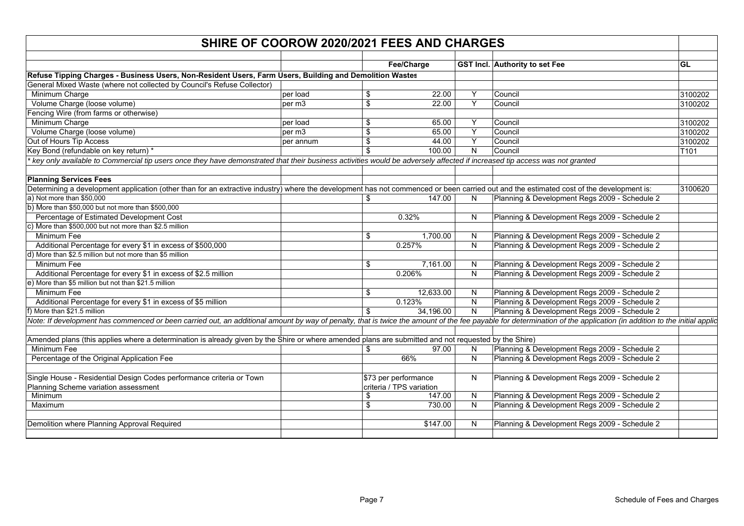| SHIRE OF COOROW 2020/2021 FEES AND CHARGES                                                                                                                                                                          |           |                         |                                                  |    |                                               |         |  |  |
|---------------------------------------------------------------------------------------------------------------------------------------------------------------------------------------------------------------------|-----------|-------------------------|--------------------------------------------------|----|-----------------------------------------------|---------|--|--|
|                                                                                                                                                                                                                     |           |                         |                                                  |    |                                               | GL      |  |  |
|                                                                                                                                                                                                                     |           |                         | Fee/Charge                                       |    | <b>GST Incl.</b> Authority to set Fee         |         |  |  |
| Refuse Tipping Charges - Business Users, Non-Resident Users, Farm Users, Building and Demolition Wastes                                                                                                             |           |                         |                                                  |    |                                               |         |  |  |
| General Mixed Waste (where not collected by Council's Refuse Collector)                                                                                                                                             |           |                         |                                                  |    |                                               |         |  |  |
| Minimum Charge                                                                                                                                                                                                      | per load  | \$                      | 22.00                                            | Y  | Council                                       | 3100202 |  |  |
| Volume Charge (loose volume)                                                                                                                                                                                        | per m3    | $\overline{\mathbf{S}}$ | 22.00                                            | Y  | Council                                       | 3100202 |  |  |
| Fencing Wire (from farms or otherwise)                                                                                                                                                                              |           |                         |                                                  |    |                                               |         |  |  |
| Minimum Charge                                                                                                                                                                                                      | per load  | \$                      | 65.00                                            | Y  | Council                                       | 3100202 |  |  |
| Volume Charge (loose volume)                                                                                                                                                                                        | per m3    | \$                      | 65.00                                            | Y  | Council                                       | 3100202 |  |  |
| Out of Hours Tip Access                                                                                                                                                                                             | per annum | $\overline{\mathbf{S}}$ | 44.00                                            | Υ  | Council                                       | 3100202 |  |  |
| Key Bond (refundable on key return) *                                                                                                                                                                               |           | \$                      | 100.00                                           | N  | Council                                       | T101    |  |  |
| key only available to Commercial tip users once they have demonstrated that their business activities would be adversely affected if increased tip access was not granted                                           |           |                         |                                                  |    |                                               |         |  |  |
|                                                                                                                                                                                                                     |           |                         |                                                  |    |                                               |         |  |  |
| <b>Planning Services Fees</b>                                                                                                                                                                                       |           |                         |                                                  |    |                                               |         |  |  |
| Determining a development application (other than for an extractive industry) where the development has not commenced or been carried out and the estimated cost of the development is:                             |           |                         |                                                  |    |                                               | 3100620 |  |  |
| a) Not more than \$50,000                                                                                                                                                                                           |           | \$                      | 147.00                                           | N  | Planning & Development Regs 2009 - Schedule 2 |         |  |  |
| b) More than \$50,000 but not more than \$500,000                                                                                                                                                                   |           |                         |                                                  |    |                                               |         |  |  |
| Percentage of Estimated Development Cost                                                                                                                                                                            |           |                         | 0.32%                                            | N  | Planning & Development Regs 2009 - Schedule 2 |         |  |  |
| c) More than \$500,000 but not more than \$2.5 million                                                                                                                                                              |           |                         |                                                  |    |                                               |         |  |  |
| Minimum Fee                                                                                                                                                                                                         |           | \$                      | 1,700.00                                         | N  | Planning & Development Regs 2009 - Schedule 2 |         |  |  |
| Additional Percentage for every \$1 in excess of \$500,000                                                                                                                                                          |           |                         | 0.257%                                           | N  | Planning & Development Regs 2009 - Schedule 2 |         |  |  |
| d) More than \$2.5 million but not more than \$5 million                                                                                                                                                            |           |                         |                                                  |    |                                               |         |  |  |
| Minimum Fee                                                                                                                                                                                                         |           | \$                      | 7,161.00                                         | N  | Planning & Development Regs 2009 - Schedule 2 |         |  |  |
| Additional Percentage for every \$1 in excess of \$2.5 million                                                                                                                                                      |           |                         | 0.206%                                           | N  | Planning & Development Regs 2009 - Schedule 2 |         |  |  |
| e) More than \$5 million but not than \$21.5 million                                                                                                                                                                |           |                         |                                                  |    |                                               |         |  |  |
| Minimum Fee                                                                                                                                                                                                         |           | \$                      | 12,633.00                                        | N  | Planning & Development Regs 2009 - Schedule 2 |         |  |  |
| Additional Percentage for every \$1 in excess of \$5 million                                                                                                                                                        |           |                         | 0.123%                                           | N  | Planning & Development Regs 2009 - Schedule 2 |         |  |  |
| f) More than \$21.5 million                                                                                                                                                                                         |           | \$                      | 34,196.00                                        | N  | Planning & Development Regs 2009 - Schedule 2 |         |  |  |
| Note: If development has commenced or been carried out, an additional amount by way of penalty, that is twice the amount of the fee payable for determination of the application (in addition to the initial applic |           |                         |                                                  |    |                                               |         |  |  |
|                                                                                                                                                                                                                     |           |                         |                                                  |    |                                               |         |  |  |
| Amended plans (this applies where a determination is already given by the Shire or where amended plans are submitted and not requested by the Shire)                                                                |           |                         |                                                  |    |                                               |         |  |  |
| Minimum Fee                                                                                                                                                                                                         |           | \$                      | 97.00                                            | N. | Planning & Development Regs 2009 - Schedule 2 |         |  |  |
| Percentage of the Original Application Fee                                                                                                                                                                          |           |                         | 66%                                              | N  | Planning & Development Regs 2009 - Schedule 2 |         |  |  |
|                                                                                                                                                                                                                     |           |                         |                                                  |    |                                               |         |  |  |
|                                                                                                                                                                                                                     |           |                         |                                                  |    |                                               |         |  |  |
| Single House - Residential Design Codes performance criteria or Town<br>Planning Scheme variation assessment                                                                                                        |           |                         | \$73 per performance<br>criteria / TPS variation | N  | Planning & Development Regs 2009 - Schedule 2 |         |  |  |
| Minimum                                                                                                                                                                                                             |           |                         | 147.00                                           |    |                                               |         |  |  |
|                                                                                                                                                                                                                     |           | \$                      |                                                  | N  | Planning & Development Regs 2009 - Schedule 2 |         |  |  |
| Maximum                                                                                                                                                                                                             |           | \$                      | 730.00                                           | N  | Planning & Development Regs 2009 - Schedule 2 |         |  |  |
|                                                                                                                                                                                                                     |           |                         |                                                  |    |                                               |         |  |  |
| Demolition where Planning Approval Required                                                                                                                                                                         |           |                         | \$147.00                                         | N  | Planning & Development Regs 2009 - Schedule 2 |         |  |  |
|                                                                                                                                                                                                                     |           |                         |                                                  |    |                                               |         |  |  |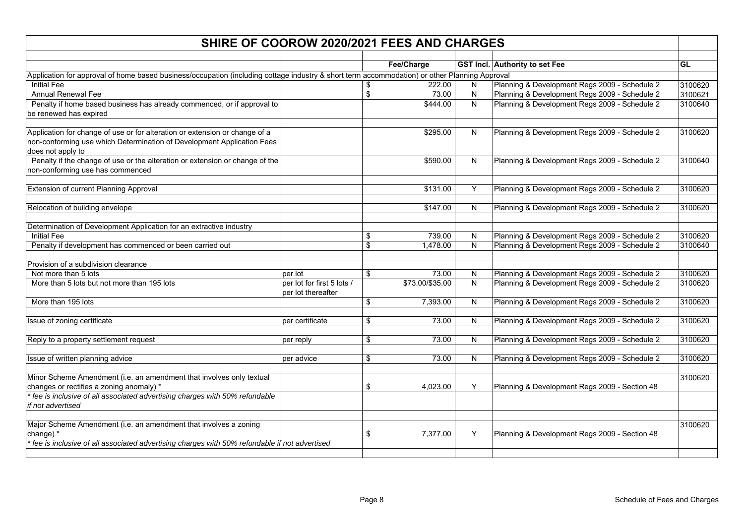| SHIRE OF COOROW 2020/2021 FEES AND CHARGES                                                                                                                                 |                                                  |                         |                 |              |                                               |           |  |  |
|----------------------------------------------------------------------------------------------------------------------------------------------------------------------------|--------------------------------------------------|-------------------------|-----------------|--------------|-----------------------------------------------|-----------|--|--|
|                                                                                                                                                                            |                                                  |                         | Fee/Charge      |              | <b>GST Incl. Authority to set Fee</b>         | <b>GL</b> |  |  |
| Application for approval of home based business/occupation (including cottage industry & short term accommodation) or other Planning Approval                              |                                                  |                         |                 |              |                                               |           |  |  |
| <b>Initial Fee</b>                                                                                                                                                         |                                                  | \$                      | 222.00          | N            | Planning & Development Regs 2009 - Schedule 2 | 3100620   |  |  |
| <b>Annual Renewal Fee</b>                                                                                                                                                  |                                                  | $\overline{\mathbf{s}}$ | 73.00           | ${\sf N}$    | Planning & Development Regs 2009 - Schedule 2 | 3100621   |  |  |
| Penalty if home based business has already commenced, or if approval to                                                                                                    |                                                  |                         | \$444.00        | N            | Planning & Development Regs 2009 - Schedule 2 | 3100640   |  |  |
| be renewed has expired                                                                                                                                                     |                                                  |                         |                 |              |                                               |           |  |  |
| Application for change of use or for alteration or extension or change of a<br>non-conforming use which Determination of Development Application Fees<br>does not apply to |                                                  |                         | \$295.00        | $\mathsf{N}$ | Planning & Development Regs 2009 - Schedule 2 | 3100620   |  |  |
| Penalty if the change of use or the alteration or extension or change of the<br>non-conforming use has commenced                                                           |                                                  |                         | \$590.00        | N            | Planning & Development Regs 2009 - Schedule 2 | 3100640   |  |  |
| Extension of current Planning Approval                                                                                                                                     |                                                  |                         | \$131.00        | Υ            | Planning & Development Regs 2009 - Schedule 2 | 3100620   |  |  |
| Relocation of building envelope                                                                                                                                            |                                                  |                         | \$147.00        | N            | Planning & Development Regs 2009 - Schedule 2 | 3100620   |  |  |
| Determination of Development Application for an extractive industry                                                                                                        |                                                  |                         |                 |              |                                               |           |  |  |
| <b>Initial Fee</b>                                                                                                                                                         |                                                  | \$                      | 739.00          | N            | Planning & Development Regs 2009 - Schedule 2 | 3100620   |  |  |
| Penalty if development has commenced or been carried out                                                                                                                   |                                                  | \$                      | 1,478.00        | N            | Planning & Development Regs 2009 - Schedule 2 | 3100640   |  |  |
| Provision of a subdivision clearance                                                                                                                                       |                                                  |                         |                 |              |                                               |           |  |  |
| Not more than 5 lots                                                                                                                                                       | per lot                                          | \$                      | 73.00           | N            | Planning & Development Regs 2009 - Schedule 2 | 3100620   |  |  |
| More than 5 lots but not more than 195 lots                                                                                                                                | per lot for first 5 lots /<br>per lot thereafter |                         | \$73.00/\$35.00 | N            | Planning & Development Regs 2009 - Schedule 2 | 3100620   |  |  |
| More than 195 lots                                                                                                                                                         |                                                  | \$                      | 7,393.00        | N            | Planning & Development Regs 2009 - Schedule 2 | 3100620   |  |  |
| Issue of zoning certificate                                                                                                                                                | per certificate                                  | \$                      | 73.00           | N            | Planning & Development Regs 2009 - Schedule 2 | 3100620   |  |  |
| Reply to a property settlement request                                                                                                                                     | per reply                                        | \$                      | 73.00           | ${\sf N}$    | Planning & Development Regs 2009 - Schedule 2 | 3100620   |  |  |
| Issue of written planning advice                                                                                                                                           | per advice                                       | \$                      | 73.00           | N            | Planning & Development Regs 2009 - Schedule 2 | 3100620   |  |  |
| Minor Scheme Amendment (i.e. an amendment that involves only textual                                                                                                       |                                                  |                         |                 |              |                                               | 3100620   |  |  |
| changes or rectifies a zoning anomaly) *                                                                                                                                   |                                                  | \$                      | 4,023.00        | Y            | Planning & Development Regs 2009 - Section 48 |           |  |  |
| fee is inclusive of all associated advertising charges with 50% refundable<br>if not advertised                                                                            |                                                  |                         |                 |              |                                               |           |  |  |
| Major Scheme Amendment (i.e. an amendment that involves a zoning<br>change) *                                                                                              |                                                  | \$                      | 7,377.00        | Y            | Planning & Development Regs 2009 - Section 48 | 3100620   |  |  |
| fee is inclusive of all associated advertising charges with 50% refundable if not advertised                                                                               |                                                  |                         |                 |              |                                               |           |  |  |
|                                                                                                                                                                            |                                                  |                         |                 |              |                                               |           |  |  |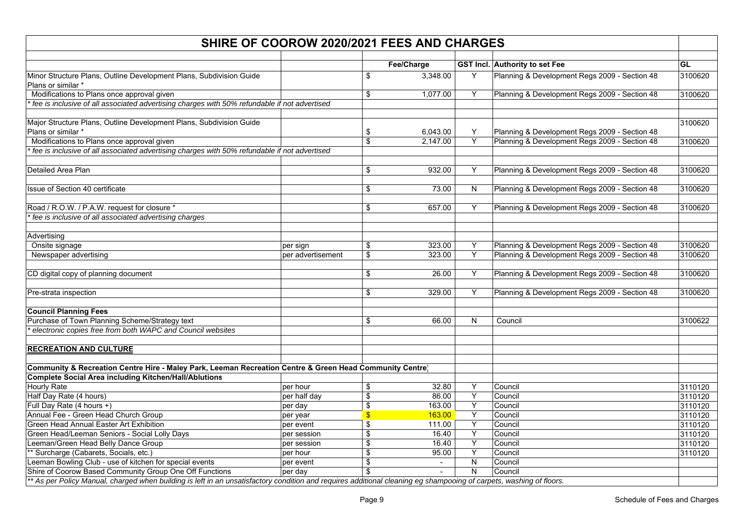|                                                                                                                                                                     | SHIRE OF COOROW 2020/2021 FEES AND CHARGES |                         |            |                |                                               |         |  |  |  |  |
|---------------------------------------------------------------------------------------------------------------------------------------------------------------------|--------------------------------------------|-------------------------|------------|----------------|-----------------------------------------------|---------|--|--|--|--|
|                                                                                                                                                                     |                                            |                         | Fee/Charge |                | <b>GST Incl. Authority to set Fee</b>         | GL      |  |  |  |  |
| Minor Structure Plans, Outline Development Plans, Subdivision Guide<br>Plans or similar *                                                                           |                                            | \$                      | 3,348.00   | Y              | Planning & Development Regs 2009 - Section 48 | 3100620 |  |  |  |  |
| Modifications to Plans once approval given                                                                                                                          |                                            | \$                      | 1,077.00   | Y              | Planning & Development Regs 2009 - Section 48 | 3100620 |  |  |  |  |
| fee is inclusive of all associated advertising charges with 50% refundable if not advertised                                                                        |                                            |                         |            |                |                                               |         |  |  |  |  |
|                                                                                                                                                                     |                                            |                         |            |                |                                               |         |  |  |  |  |
| Major Structure Plans, Outline Development Plans, Subdivision Guide                                                                                                 |                                            |                         |            |                |                                               | 3100620 |  |  |  |  |
| Plans or similar *                                                                                                                                                  |                                            | \$                      | 6,043.00   | Υ              | Planning & Development Regs 2009 - Section 48 |         |  |  |  |  |
| Modifications to Plans once approval given                                                                                                                          |                                            | $\overline{\$}$         | 2,147.00   | $\overline{Y}$ | Planning & Development Regs 2009 - Section 48 | 3100620 |  |  |  |  |
| fee is inclusive of all associated advertising charges with 50% refundable if not advertised                                                                        |                                            |                         |            |                |                                               |         |  |  |  |  |
|                                                                                                                                                                     |                                            |                         |            |                |                                               |         |  |  |  |  |
| Detailed Area Plan                                                                                                                                                  |                                            | \$                      | 932.00     | Y              | Planning & Development Regs 2009 - Section 48 | 3100620 |  |  |  |  |
|                                                                                                                                                                     |                                            |                         |            |                |                                               |         |  |  |  |  |
| Issue of Section 40 certificate                                                                                                                                     |                                            | \$                      | 73.00      | N              | Planning & Development Regs 2009 - Section 48 | 3100620 |  |  |  |  |
|                                                                                                                                                                     |                                            |                         |            |                |                                               |         |  |  |  |  |
| Road / R.O.W. / P.A.W. request for closure *                                                                                                                        |                                            | \$                      | 657.00     | Υ              | Planning & Development Regs 2009 - Section 48 | 3100620 |  |  |  |  |
| fee is inclusive of all associated advertising charges                                                                                                              |                                            |                         |            |                |                                               |         |  |  |  |  |
| Advertising                                                                                                                                                         |                                            |                         |            |                |                                               |         |  |  |  |  |
| Onsite signage                                                                                                                                                      | per sign                                   | \$                      | 323.00     | Υ              | Planning & Development Regs 2009 - Section 48 | 3100620 |  |  |  |  |
| Newspaper advertising                                                                                                                                               | per advertisement                          | \$                      | 323.00     | Υ              | Planning & Development Regs 2009 - Section 48 | 3100620 |  |  |  |  |
|                                                                                                                                                                     |                                            |                         |            |                |                                               |         |  |  |  |  |
| CD digital copy of planning document                                                                                                                                |                                            | \$                      | 26.00      | Υ              | Planning & Development Regs 2009 - Section 48 | 3100620 |  |  |  |  |
|                                                                                                                                                                     |                                            |                         |            |                |                                               |         |  |  |  |  |
| Pre-strata inspection                                                                                                                                               |                                            | \$                      | 329.00     | Y              | Planning & Development Regs 2009 - Section 48 | 3100620 |  |  |  |  |
|                                                                                                                                                                     |                                            |                         |            |                |                                               |         |  |  |  |  |
| <b>Council Planning Fees</b>                                                                                                                                        |                                            |                         |            |                |                                               |         |  |  |  |  |
| Purchase of Town Planning Scheme/Strategy text                                                                                                                      |                                            | \$                      | 66.00      | ${\sf N}$      | Council                                       | 3100622 |  |  |  |  |
| electronic copies free from both WAPC and Council websites                                                                                                          |                                            |                         |            |                |                                               |         |  |  |  |  |
|                                                                                                                                                                     |                                            |                         |            |                |                                               |         |  |  |  |  |
| <b>RECREATION AND CULTURE</b>                                                                                                                                       |                                            |                         |            |                |                                               |         |  |  |  |  |
|                                                                                                                                                                     |                                            |                         |            |                |                                               |         |  |  |  |  |
| Community & Recreation Centre Hire - Maley Park, Leeman Recreation Centre & Green Head Community Centre)                                                            |                                            |                         |            |                |                                               |         |  |  |  |  |
| <b>Complete Social Area including Kitchen/Hall/Ablutions</b>                                                                                                        |                                            |                         |            |                |                                               |         |  |  |  |  |
| <b>Hourly Rate</b>                                                                                                                                                  | per hour                                   | \$                      | 32.80      | Υ              | Council                                       | 3110120 |  |  |  |  |
| Half Day Rate (4 hours)                                                                                                                                             | per half day                               | $\overline{\mathbf{S}}$ | 86.00      | Y              | Council                                       | 3110120 |  |  |  |  |
| Full Day Rate (4 hours +)                                                                                                                                           | per day                                    | \$                      | 163.00     | $\overline{Y}$ | Council                                       | 3110120 |  |  |  |  |
| Annual Fee - Green Head Church Group                                                                                                                                | per year                                   | \$                      | 163.00     | Y              | Council                                       | 3110120 |  |  |  |  |
| Green Head Annual Easter Art Exhibition                                                                                                                             | per event                                  | \$                      | 111.00     | Υ              | Council                                       | 3110120 |  |  |  |  |
| Green Head/Leeman Seniors - Social Lolly Days                                                                                                                       | per session                                | \$                      | 16.40      | Υ              | Council                                       | 3110120 |  |  |  |  |
| eeman/Green Head Belly Dance Group                                                                                                                                  | per session                                | \$                      | 16.40      | Υ              | Council                                       | 3110120 |  |  |  |  |
| * Surcharge (Cabarets, Socials, etc.)                                                                                                                               | per hour                                   | \$                      | 95.00      | $\overline{Y}$ | Council                                       | 3110120 |  |  |  |  |
| eeman Bowling Club - use of kitchen for special events                                                                                                              | per event                                  | \$                      |            | ${\sf N}$      | Council                                       |         |  |  |  |  |
| Shire of Coorow Based Community Group One Off Functions                                                                                                             | per day                                    | \$                      |            | N              | Council                                       |         |  |  |  |  |
| ** As per Policy Manual, charged when building is left in an unsatisfactory condition and requires additional cleaning eg shampooing of carpets, washing of floors. |                                            |                         |            |                |                                               |         |  |  |  |  |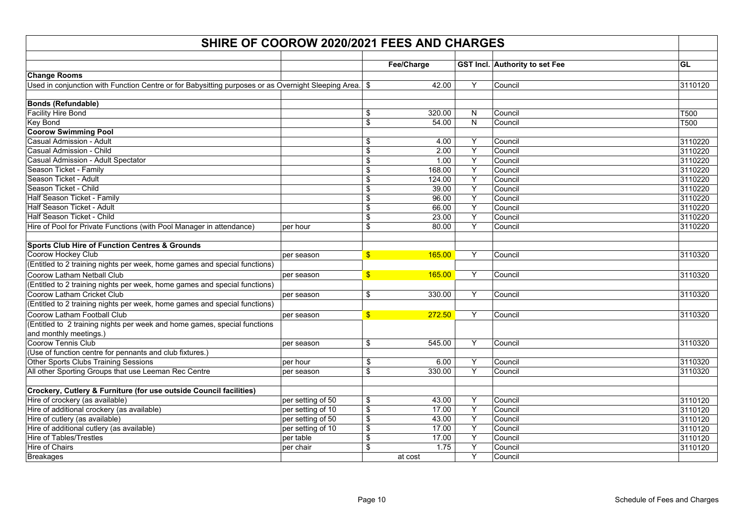| Fee/Charge<br><b>GST Incl. Authority to set Fee</b><br>GL<br><b>Change Rooms</b><br>Y<br>Council<br>Used in conjunction with Function Centre or for Babysitting purposes or as Overnight Sleeping Area.   \$<br>42.00<br>3110120<br><b>Bonds (Refundable)</b><br><b>Facility Hire Bond</b><br>\$<br>320.00<br>N<br>Council<br>T500<br>\$<br>$\overline{\mathsf{N}}$<br>Key Bond<br>54.00<br><b>T500</b><br>Council<br><b>Coorow Swimming Pool</b><br>Casual Admission - Adult<br>Y<br>Council<br>3110220<br>\$<br>4.00<br>Casual Admission - Child<br>Y<br>\$<br>2.00<br>Council<br>3110220<br>$\overline{Y}$<br>Casual Admission - Adult Spectator<br>Council<br>3110220<br>\$<br>1.00<br>$\overline{Y}$<br>\$<br>168.00<br>Council<br>Season Ticket - Family<br>3110220<br>Season Ticket - Adult<br>Υ<br>\$<br>Council<br>3110220<br>124.00<br>Y<br>Season Ticket - Child<br>\$<br>39.00<br>Council<br>3110220<br>Half Season Ticket - Family<br>96.00<br>Y<br>3110220<br>\$<br>Council<br>$\overline{Y}$<br>Half Season Ticket - Adult<br>\$<br>66.00<br>Council<br>3110220<br>Half Season Ticket - Child<br>\$<br>Υ<br>3110220<br>23.00<br>Council<br>Y<br>Hire of Pool for Private Functions (with Pool Manager in attendance)<br>\$<br>80.00<br>Council<br>3110220<br>per hour<br><b>Sports Club Hire of Function Centres &amp; Grounds</b><br>Coorow Hockey Club<br>Y<br>3110320<br>$\mathsf{S}$<br>165.00<br>Council<br>per season<br>(Entitled to 2 training nights per week, home games and special functions)<br>Y<br>Council<br>Coorow Latham Netball Club<br>165.00<br>3110320<br>$\mathbf{s}$<br>per season<br>(Entitled to 2 training nights per week, home games and special functions)<br>Y<br>Coorow Latham Cricket Club<br>\$<br>330.00<br>Council<br>3110320<br>per season<br>(Entitled to 2 training nights per week, home games and special functions)<br>Y<br>Coorow Latham Football Club<br>Council<br>$\mathbf{s}$<br>272.50<br>3110320<br>per season<br>(Entitled to 2 training nights per week and home games, special functions<br>and monthly meetings.)<br>Y<br>Coorow Tennis Club<br>\$<br>545.00<br>Council<br>3110320<br>per season<br>(Use of function centre for pennants and club fixtures.)<br>Υ<br>Council<br>Other Sports Clubs Training Sessions<br>per hour<br>\$<br>6.00<br>3110320<br>\$<br>Y<br>All other Sporting Groups that use Leeman Rec Centre<br>330.00<br>Council<br>3110320<br>per season<br>Crockery, Cutlery & Furniture (for use outside Council facilities)<br>Hire of crockery (as available)<br>per setting of 50<br>Υ<br>Council<br>\$<br>43.00<br>3110120<br>$\overline{Y}$<br>Hire of additional crockery (as available)<br>\$<br>3110120<br>per setting of 10<br>17.00<br>Council<br>Y<br>Hire of cutlery (as available)<br>per setting of 50<br>\$<br>43.00<br>Council<br>3110120<br>\$<br>Y<br>Hire of additional cutlery (as available)<br>17.00<br>3110120<br>per setting of 10<br>Council<br>Υ<br><b>Hire of Tables/Trestles</b><br>per table<br>\$<br>17.00<br>Council<br>3110120<br><b>Hire of Chairs</b><br>Υ<br>\$<br>1.75<br>Council<br>3110120<br>per chair<br>Υ<br>at cost |                  | SHIRE OF COOROW 2020/2021 FEES AND CHARGES |  |         |  |
|-------------------------------------------------------------------------------------------------------------------------------------------------------------------------------------------------------------------------------------------------------------------------------------------------------------------------------------------------------------------------------------------------------------------------------------------------------------------------------------------------------------------------------------------------------------------------------------------------------------------------------------------------------------------------------------------------------------------------------------------------------------------------------------------------------------------------------------------------------------------------------------------------------------------------------------------------------------------------------------------------------------------------------------------------------------------------------------------------------------------------------------------------------------------------------------------------------------------------------------------------------------------------------------------------------------------------------------------------------------------------------------------------------------------------------------------------------------------------------------------------------------------------------------------------------------------------------------------------------------------------------------------------------------------------------------------------------------------------------------------------------------------------------------------------------------------------------------------------------------------------------------------------------------------------------------------------------------------------------------------------------------------------------------------------------------------------------------------------------------------------------------------------------------------------------------------------------------------------------------------------------------------------------------------------------------------------------------------------------------------------------------------------------------------------------------------------------------------------------------------------------------------------------------------------------------------------------------------------------------------------------------------------------------------------------------------------------------------------------------------------------------------------------------------------------------------------------------------------------------------------------------------------------------------------------------------------------------------------------------------------------------------------------------------------------------------------------------------------------------------------------------------------------|------------------|--------------------------------------------|--|---------|--|
|                                                                                                                                                                                                                                                                                                                                                                                                                                                                                                                                                                                                                                                                                                                                                                                                                                                                                                                                                                                                                                                                                                                                                                                                                                                                                                                                                                                                                                                                                                                                                                                                                                                                                                                                                                                                                                                                                                                                                                                                                                                                                                                                                                                                                                                                                                                                                                                                                                                                                                                                                                                                                                                                                                                                                                                                                                                                                                                                                                                                                                                                                                                                                       |                  |                                            |  |         |  |
|                                                                                                                                                                                                                                                                                                                                                                                                                                                                                                                                                                                                                                                                                                                                                                                                                                                                                                                                                                                                                                                                                                                                                                                                                                                                                                                                                                                                                                                                                                                                                                                                                                                                                                                                                                                                                                                                                                                                                                                                                                                                                                                                                                                                                                                                                                                                                                                                                                                                                                                                                                                                                                                                                                                                                                                                                                                                                                                                                                                                                                                                                                                                                       |                  |                                            |  |         |  |
|                                                                                                                                                                                                                                                                                                                                                                                                                                                                                                                                                                                                                                                                                                                                                                                                                                                                                                                                                                                                                                                                                                                                                                                                                                                                                                                                                                                                                                                                                                                                                                                                                                                                                                                                                                                                                                                                                                                                                                                                                                                                                                                                                                                                                                                                                                                                                                                                                                                                                                                                                                                                                                                                                                                                                                                                                                                                                                                                                                                                                                                                                                                                                       |                  |                                            |  |         |  |
|                                                                                                                                                                                                                                                                                                                                                                                                                                                                                                                                                                                                                                                                                                                                                                                                                                                                                                                                                                                                                                                                                                                                                                                                                                                                                                                                                                                                                                                                                                                                                                                                                                                                                                                                                                                                                                                                                                                                                                                                                                                                                                                                                                                                                                                                                                                                                                                                                                                                                                                                                                                                                                                                                                                                                                                                                                                                                                                                                                                                                                                                                                                                                       |                  |                                            |  |         |  |
|                                                                                                                                                                                                                                                                                                                                                                                                                                                                                                                                                                                                                                                                                                                                                                                                                                                                                                                                                                                                                                                                                                                                                                                                                                                                                                                                                                                                                                                                                                                                                                                                                                                                                                                                                                                                                                                                                                                                                                                                                                                                                                                                                                                                                                                                                                                                                                                                                                                                                                                                                                                                                                                                                                                                                                                                                                                                                                                                                                                                                                                                                                                                                       |                  |                                            |  |         |  |
|                                                                                                                                                                                                                                                                                                                                                                                                                                                                                                                                                                                                                                                                                                                                                                                                                                                                                                                                                                                                                                                                                                                                                                                                                                                                                                                                                                                                                                                                                                                                                                                                                                                                                                                                                                                                                                                                                                                                                                                                                                                                                                                                                                                                                                                                                                                                                                                                                                                                                                                                                                                                                                                                                                                                                                                                                                                                                                                                                                                                                                                                                                                                                       |                  |                                            |  |         |  |
|                                                                                                                                                                                                                                                                                                                                                                                                                                                                                                                                                                                                                                                                                                                                                                                                                                                                                                                                                                                                                                                                                                                                                                                                                                                                                                                                                                                                                                                                                                                                                                                                                                                                                                                                                                                                                                                                                                                                                                                                                                                                                                                                                                                                                                                                                                                                                                                                                                                                                                                                                                                                                                                                                                                                                                                                                                                                                                                                                                                                                                                                                                                                                       |                  |                                            |  |         |  |
|                                                                                                                                                                                                                                                                                                                                                                                                                                                                                                                                                                                                                                                                                                                                                                                                                                                                                                                                                                                                                                                                                                                                                                                                                                                                                                                                                                                                                                                                                                                                                                                                                                                                                                                                                                                                                                                                                                                                                                                                                                                                                                                                                                                                                                                                                                                                                                                                                                                                                                                                                                                                                                                                                                                                                                                                                                                                                                                                                                                                                                                                                                                                                       |                  |                                            |  |         |  |
|                                                                                                                                                                                                                                                                                                                                                                                                                                                                                                                                                                                                                                                                                                                                                                                                                                                                                                                                                                                                                                                                                                                                                                                                                                                                                                                                                                                                                                                                                                                                                                                                                                                                                                                                                                                                                                                                                                                                                                                                                                                                                                                                                                                                                                                                                                                                                                                                                                                                                                                                                                                                                                                                                                                                                                                                                                                                                                                                                                                                                                                                                                                                                       |                  |                                            |  |         |  |
|                                                                                                                                                                                                                                                                                                                                                                                                                                                                                                                                                                                                                                                                                                                                                                                                                                                                                                                                                                                                                                                                                                                                                                                                                                                                                                                                                                                                                                                                                                                                                                                                                                                                                                                                                                                                                                                                                                                                                                                                                                                                                                                                                                                                                                                                                                                                                                                                                                                                                                                                                                                                                                                                                                                                                                                                                                                                                                                                                                                                                                                                                                                                                       |                  |                                            |  |         |  |
|                                                                                                                                                                                                                                                                                                                                                                                                                                                                                                                                                                                                                                                                                                                                                                                                                                                                                                                                                                                                                                                                                                                                                                                                                                                                                                                                                                                                                                                                                                                                                                                                                                                                                                                                                                                                                                                                                                                                                                                                                                                                                                                                                                                                                                                                                                                                                                                                                                                                                                                                                                                                                                                                                                                                                                                                                                                                                                                                                                                                                                                                                                                                                       |                  |                                            |  |         |  |
|                                                                                                                                                                                                                                                                                                                                                                                                                                                                                                                                                                                                                                                                                                                                                                                                                                                                                                                                                                                                                                                                                                                                                                                                                                                                                                                                                                                                                                                                                                                                                                                                                                                                                                                                                                                                                                                                                                                                                                                                                                                                                                                                                                                                                                                                                                                                                                                                                                                                                                                                                                                                                                                                                                                                                                                                                                                                                                                                                                                                                                                                                                                                                       |                  |                                            |  |         |  |
|                                                                                                                                                                                                                                                                                                                                                                                                                                                                                                                                                                                                                                                                                                                                                                                                                                                                                                                                                                                                                                                                                                                                                                                                                                                                                                                                                                                                                                                                                                                                                                                                                                                                                                                                                                                                                                                                                                                                                                                                                                                                                                                                                                                                                                                                                                                                                                                                                                                                                                                                                                                                                                                                                                                                                                                                                                                                                                                                                                                                                                                                                                                                                       |                  |                                            |  |         |  |
|                                                                                                                                                                                                                                                                                                                                                                                                                                                                                                                                                                                                                                                                                                                                                                                                                                                                                                                                                                                                                                                                                                                                                                                                                                                                                                                                                                                                                                                                                                                                                                                                                                                                                                                                                                                                                                                                                                                                                                                                                                                                                                                                                                                                                                                                                                                                                                                                                                                                                                                                                                                                                                                                                                                                                                                                                                                                                                                                                                                                                                                                                                                                                       |                  |                                            |  |         |  |
|                                                                                                                                                                                                                                                                                                                                                                                                                                                                                                                                                                                                                                                                                                                                                                                                                                                                                                                                                                                                                                                                                                                                                                                                                                                                                                                                                                                                                                                                                                                                                                                                                                                                                                                                                                                                                                                                                                                                                                                                                                                                                                                                                                                                                                                                                                                                                                                                                                                                                                                                                                                                                                                                                                                                                                                                                                                                                                                                                                                                                                                                                                                                                       |                  |                                            |  |         |  |
|                                                                                                                                                                                                                                                                                                                                                                                                                                                                                                                                                                                                                                                                                                                                                                                                                                                                                                                                                                                                                                                                                                                                                                                                                                                                                                                                                                                                                                                                                                                                                                                                                                                                                                                                                                                                                                                                                                                                                                                                                                                                                                                                                                                                                                                                                                                                                                                                                                                                                                                                                                                                                                                                                                                                                                                                                                                                                                                                                                                                                                                                                                                                                       |                  |                                            |  |         |  |
|                                                                                                                                                                                                                                                                                                                                                                                                                                                                                                                                                                                                                                                                                                                                                                                                                                                                                                                                                                                                                                                                                                                                                                                                                                                                                                                                                                                                                                                                                                                                                                                                                                                                                                                                                                                                                                                                                                                                                                                                                                                                                                                                                                                                                                                                                                                                                                                                                                                                                                                                                                                                                                                                                                                                                                                                                                                                                                                                                                                                                                                                                                                                                       |                  |                                            |  |         |  |
|                                                                                                                                                                                                                                                                                                                                                                                                                                                                                                                                                                                                                                                                                                                                                                                                                                                                                                                                                                                                                                                                                                                                                                                                                                                                                                                                                                                                                                                                                                                                                                                                                                                                                                                                                                                                                                                                                                                                                                                                                                                                                                                                                                                                                                                                                                                                                                                                                                                                                                                                                                                                                                                                                                                                                                                                                                                                                                                                                                                                                                                                                                                                                       |                  |                                            |  |         |  |
|                                                                                                                                                                                                                                                                                                                                                                                                                                                                                                                                                                                                                                                                                                                                                                                                                                                                                                                                                                                                                                                                                                                                                                                                                                                                                                                                                                                                                                                                                                                                                                                                                                                                                                                                                                                                                                                                                                                                                                                                                                                                                                                                                                                                                                                                                                                                                                                                                                                                                                                                                                                                                                                                                                                                                                                                                                                                                                                                                                                                                                                                                                                                                       |                  |                                            |  |         |  |
|                                                                                                                                                                                                                                                                                                                                                                                                                                                                                                                                                                                                                                                                                                                                                                                                                                                                                                                                                                                                                                                                                                                                                                                                                                                                                                                                                                                                                                                                                                                                                                                                                                                                                                                                                                                                                                                                                                                                                                                                                                                                                                                                                                                                                                                                                                                                                                                                                                                                                                                                                                                                                                                                                                                                                                                                                                                                                                                                                                                                                                                                                                                                                       |                  |                                            |  |         |  |
|                                                                                                                                                                                                                                                                                                                                                                                                                                                                                                                                                                                                                                                                                                                                                                                                                                                                                                                                                                                                                                                                                                                                                                                                                                                                                                                                                                                                                                                                                                                                                                                                                                                                                                                                                                                                                                                                                                                                                                                                                                                                                                                                                                                                                                                                                                                                                                                                                                                                                                                                                                                                                                                                                                                                                                                                                                                                                                                                                                                                                                                                                                                                                       |                  |                                            |  |         |  |
|                                                                                                                                                                                                                                                                                                                                                                                                                                                                                                                                                                                                                                                                                                                                                                                                                                                                                                                                                                                                                                                                                                                                                                                                                                                                                                                                                                                                                                                                                                                                                                                                                                                                                                                                                                                                                                                                                                                                                                                                                                                                                                                                                                                                                                                                                                                                                                                                                                                                                                                                                                                                                                                                                                                                                                                                                                                                                                                                                                                                                                                                                                                                                       |                  |                                            |  |         |  |
|                                                                                                                                                                                                                                                                                                                                                                                                                                                                                                                                                                                                                                                                                                                                                                                                                                                                                                                                                                                                                                                                                                                                                                                                                                                                                                                                                                                                                                                                                                                                                                                                                                                                                                                                                                                                                                                                                                                                                                                                                                                                                                                                                                                                                                                                                                                                                                                                                                                                                                                                                                                                                                                                                                                                                                                                                                                                                                                                                                                                                                                                                                                                                       |                  |                                            |  |         |  |
|                                                                                                                                                                                                                                                                                                                                                                                                                                                                                                                                                                                                                                                                                                                                                                                                                                                                                                                                                                                                                                                                                                                                                                                                                                                                                                                                                                                                                                                                                                                                                                                                                                                                                                                                                                                                                                                                                                                                                                                                                                                                                                                                                                                                                                                                                                                                                                                                                                                                                                                                                                                                                                                                                                                                                                                                                                                                                                                                                                                                                                                                                                                                                       |                  |                                            |  |         |  |
|                                                                                                                                                                                                                                                                                                                                                                                                                                                                                                                                                                                                                                                                                                                                                                                                                                                                                                                                                                                                                                                                                                                                                                                                                                                                                                                                                                                                                                                                                                                                                                                                                                                                                                                                                                                                                                                                                                                                                                                                                                                                                                                                                                                                                                                                                                                                                                                                                                                                                                                                                                                                                                                                                                                                                                                                                                                                                                                                                                                                                                                                                                                                                       |                  |                                            |  |         |  |
|                                                                                                                                                                                                                                                                                                                                                                                                                                                                                                                                                                                                                                                                                                                                                                                                                                                                                                                                                                                                                                                                                                                                                                                                                                                                                                                                                                                                                                                                                                                                                                                                                                                                                                                                                                                                                                                                                                                                                                                                                                                                                                                                                                                                                                                                                                                                                                                                                                                                                                                                                                                                                                                                                                                                                                                                                                                                                                                                                                                                                                                                                                                                                       |                  |                                            |  |         |  |
|                                                                                                                                                                                                                                                                                                                                                                                                                                                                                                                                                                                                                                                                                                                                                                                                                                                                                                                                                                                                                                                                                                                                                                                                                                                                                                                                                                                                                                                                                                                                                                                                                                                                                                                                                                                                                                                                                                                                                                                                                                                                                                                                                                                                                                                                                                                                                                                                                                                                                                                                                                                                                                                                                                                                                                                                                                                                                                                                                                                                                                                                                                                                                       |                  |                                            |  |         |  |
|                                                                                                                                                                                                                                                                                                                                                                                                                                                                                                                                                                                                                                                                                                                                                                                                                                                                                                                                                                                                                                                                                                                                                                                                                                                                                                                                                                                                                                                                                                                                                                                                                                                                                                                                                                                                                                                                                                                                                                                                                                                                                                                                                                                                                                                                                                                                                                                                                                                                                                                                                                                                                                                                                                                                                                                                                                                                                                                                                                                                                                                                                                                                                       |                  |                                            |  |         |  |
|                                                                                                                                                                                                                                                                                                                                                                                                                                                                                                                                                                                                                                                                                                                                                                                                                                                                                                                                                                                                                                                                                                                                                                                                                                                                                                                                                                                                                                                                                                                                                                                                                                                                                                                                                                                                                                                                                                                                                                                                                                                                                                                                                                                                                                                                                                                                                                                                                                                                                                                                                                                                                                                                                                                                                                                                                                                                                                                                                                                                                                                                                                                                                       |                  |                                            |  |         |  |
|                                                                                                                                                                                                                                                                                                                                                                                                                                                                                                                                                                                                                                                                                                                                                                                                                                                                                                                                                                                                                                                                                                                                                                                                                                                                                                                                                                                                                                                                                                                                                                                                                                                                                                                                                                                                                                                                                                                                                                                                                                                                                                                                                                                                                                                                                                                                                                                                                                                                                                                                                                                                                                                                                                                                                                                                                                                                                                                                                                                                                                                                                                                                                       |                  |                                            |  |         |  |
|                                                                                                                                                                                                                                                                                                                                                                                                                                                                                                                                                                                                                                                                                                                                                                                                                                                                                                                                                                                                                                                                                                                                                                                                                                                                                                                                                                                                                                                                                                                                                                                                                                                                                                                                                                                                                                                                                                                                                                                                                                                                                                                                                                                                                                                                                                                                                                                                                                                                                                                                                                                                                                                                                                                                                                                                                                                                                                                                                                                                                                                                                                                                                       |                  |                                            |  |         |  |
|                                                                                                                                                                                                                                                                                                                                                                                                                                                                                                                                                                                                                                                                                                                                                                                                                                                                                                                                                                                                                                                                                                                                                                                                                                                                                                                                                                                                                                                                                                                                                                                                                                                                                                                                                                                                                                                                                                                                                                                                                                                                                                                                                                                                                                                                                                                                                                                                                                                                                                                                                                                                                                                                                                                                                                                                                                                                                                                                                                                                                                                                                                                                                       |                  |                                            |  |         |  |
|                                                                                                                                                                                                                                                                                                                                                                                                                                                                                                                                                                                                                                                                                                                                                                                                                                                                                                                                                                                                                                                                                                                                                                                                                                                                                                                                                                                                                                                                                                                                                                                                                                                                                                                                                                                                                                                                                                                                                                                                                                                                                                                                                                                                                                                                                                                                                                                                                                                                                                                                                                                                                                                                                                                                                                                                                                                                                                                                                                                                                                                                                                                                                       |                  |                                            |  |         |  |
|                                                                                                                                                                                                                                                                                                                                                                                                                                                                                                                                                                                                                                                                                                                                                                                                                                                                                                                                                                                                                                                                                                                                                                                                                                                                                                                                                                                                                                                                                                                                                                                                                                                                                                                                                                                                                                                                                                                                                                                                                                                                                                                                                                                                                                                                                                                                                                                                                                                                                                                                                                                                                                                                                                                                                                                                                                                                                                                                                                                                                                                                                                                                                       |                  |                                            |  |         |  |
|                                                                                                                                                                                                                                                                                                                                                                                                                                                                                                                                                                                                                                                                                                                                                                                                                                                                                                                                                                                                                                                                                                                                                                                                                                                                                                                                                                                                                                                                                                                                                                                                                                                                                                                                                                                                                                                                                                                                                                                                                                                                                                                                                                                                                                                                                                                                                                                                                                                                                                                                                                                                                                                                                                                                                                                                                                                                                                                                                                                                                                                                                                                                                       |                  |                                            |  |         |  |
|                                                                                                                                                                                                                                                                                                                                                                                                                                                                                                                                                                                                                                                                                                                                                                                                                                                                                                                                                                                                                                                                                                                                                                                                                                                                                                                                                                                                                                                                                                                                                                                                                                                                                                                                                                                                                                                                                                                                                                                                                                                                                                                                                                                                                                                                                                                                                                                                                                                                                                                                                                                                                                                                                                                                                                                                                                                                                                                                                                                                                                                                                                                                                       |                  |                                            |  |         |  |
|                                                                                                                                                                                                                                                                                                                                                                                                                                                                                                                                                                                                                                                                                                                                                                                                                                                                                                                                                                                                                                                                                                                                                                                                                                                                                                                                                                                                                                                                                                                                                                                                                                                                                                                                                                                                                                                                                                                                                                                                                                                                                                                                                                                                                                                                                                                                                                                                                                                                                                                                                                                                                                                                                                                                                                                                                                                                                                                                                                                                                                                                                                                                                       |                  |                                            |  |         |  |
|                                                                                                                                                                                                                                                                                                                                                                                                                                                                                                                                                                                                                                                                                                                                                                                                                                                                                                                                                                                                                                                                                                                                                                                                                                                                                                                                                                                                                                                                                                                                                                                                                                                                                                                                                                                                                                                                                                                                                                                                                                                                                                                                                                                                                                                                                                                                                                                                                                                                                                                                                                                                                                                                                                                                                                                                                                                                                                                                                                                                                                                                                                                                                       |                  |                                            |  |         |  |
|                                                                                                                                                                                                                                                                                                                                                                                                                                                                                                                                                                                                                                                                                                                                                                                                                                                                                                                                                                                                                                                                                                                                                                                                                                                                                                                                                                                                                                                                                                                                                                                                                                                                                                                                                                                                                                                                                                                                                                                                                                                                                                                                                                                                                                                                                                                                                                                                                                                                                                                                                                                                                                                                                                                                                                                                                                                                                                                                                                                                                                                                                                                                                       |                  |                                            |  |         |  |
|                                                                                                                                                                                                                                                                                                                                                                                                                                                                                                                                                                                                                                                                                                                                                                                                                                                                                                                                                                                                                                                                                                                                                                                                                                                                                                                                                                                                                                                                                                                                                                                                                                                                                                                                                                                                                                                                                                                                                                                                                                                                                                                                                                                                                                                                                                                                                                                                                                                                                                                                                                                                                                                                                                                                                                                                                                                                                                                                                                                                                                                                                                                                                       | <b>Breakages</b> |                                            |  | Council |  |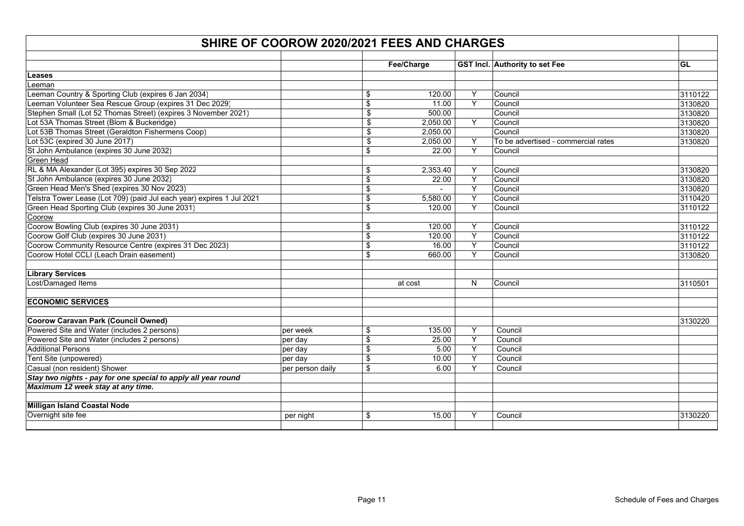| SHIRE OF COOROW 2020/2021 FEES AND CHARGES                            |                  |                 |            |   |                                     |         |  |
|-----------------------------------------------------------------------|------------------|-----------------|------------|---|-------------------------------------|---------|--|
|                                                                       |                  |                 |            |   |                                     |         |  |
|                                                                       |                  |                 | Fee/Charge |   | GST Incl. Authority to set Fee      | GL      |  |
| Leases                                                                |                  |                 |            |   |                                     |         |  |
| eeman                                                                 |                  |                 |            |   |                                     |         |  |
| Leeman Country & Sporting Club (expires 6 Jan 2034)                   |                  | \$              | 120.00     | Y | Council                             | 3110122 |  |
| Leeman Volunteer Sea Rescue Group (expires 31 Dec 2029)               |                  | \$              | 11.00      | Y | Council                             | 3130820 |  |
| Stephen Small (Lot 52 Thomas Street) (expires 3 November 2021)        |                  | \$              | 500.00     |   | Council                             | 3130820 |  |
| Lot 53A Thomas Street (Blom & Buckeridge)                             |                  | \$              | 2,050.00   | Y | Council                             | 3130820 |  |
| Lot 53B Thomas Street (Geraldton Fishermens Coop)                     |                  | \$              | 2,050.00   |   | Council                             | 3130820 |  |
| Lot 53C (expired 30 June 2017)                                        |                  | \$              | 2,050.00   | Y | To be advertised - commercial rates | 3130820 |  |
| St John Ambulance (expires 30 June 2032)                              |                  | \$              | 22.00      | Y | Council                             |         |  |
| <b>Green Head</b>                                                     |                  |                 |            |   |                                     |         |  |
| RL & MA Alexander (Lot 395) expires 30 Sep 2022                       |                  | \$              | 2,353.40   | Y | Council                             | 3130820 |  |
| St John Ambulance (expires 30 June 2032)                              |                  | \$              | 22.00      | Y | Council                             | 3130820 |  |
| Green Head Men's Shed (expires 30 Nov 2023)                           |                  | \$              |            | Y | Council                             | 3130820 |  |
| Telstra Tower Lease (Lot 709) (paid Jul each year) expires 1 Jul 2021 |                  | \$              | 5,580.00   | Υ | Council                             | 3110420 |  |
| Green Head Sporting Club (expires 30 June 2031)                       |                  | \$              | 120.00     | Y | Council                             | 3110122 |  |
| Coorow                                                                |                  |                 |            |   |                                     |         |  |
| Coorow Bowling Club (expires 30 June 2031)                            |                  | \$              | 120.00     | Y | Council                             | 3110122 |  |
| Coorow Golf Club (expires 30 June 2031)                               |                  | \$              | 120.00     | Υ | Council                             | 3110122 |  |
| Coorow Community Resource Centre (expires 31 Dec 2023)                |                  | $\overline{\$}$ | 16.00      | Y | Council                             | 3110122 |  |
| Coorow Hotel CCLI (Leach Drain easement)                              |                  | \$              | 660.00     | Y | Council                             | 3130820 |  |
|                                                                       |                  |                 |            |   |                                     |         |  |
| <b>Library Services</b>                                               |                  |                 |            |   |                                     |         |  |
| Lost/Damaged Items                                                    |                  |                 | at cost    | N | Council                             | 3110501 |  |
|                                                                       |                  |                 |            |   |                                     |         |  |
| <b>ECONOMIC SERVICES</b>                                              |                  |                 |            |   |                                     |         |  |
| <b>Coorow Caravan Park (Council Owned)</b>                            |                  |                 |            |   |                                     | 3130220 |  |
| Powered Site and Water (includes 2 persons)                           | per week         | \$              | 135.00     | Y | Council                             |         |  |
| Powered Site and Water (includes 2 persons)                           | per day          | \$              | 25.00      | Υ | Council                             |         |  |
| <b>Additional Persons</b>                                             | per day          | \$              | 5.00       | Y | Council                             |         |  |
| Tent Site (unpowered)                                                 | per day          | \$              | 10.00      | Υ | Council                             |         |  |
| Casual (non resident) Shower                                          | per person daily | \$              | 6.00       | Y | Council                             |         |  |
| Stay two nights - pay for one special to apply all year round         |                  |                 |            |   |                                     |         |  |
| Maximum 12 week stay at any time.                                     |                  |                 |            |   |                                     |         |  |
|                                                                       |                  |                 |            |   |                                     |         |  |
| Milligan Island Coastal Node                                          |                  |                 |            |   |                                     |         |  |
| Overnight site fee                                                    | per night        | \$              | 15.00      | Y | Council                             | 3130220 |  |
|                                                                       |                  |                 |            |   |                                     |         |  |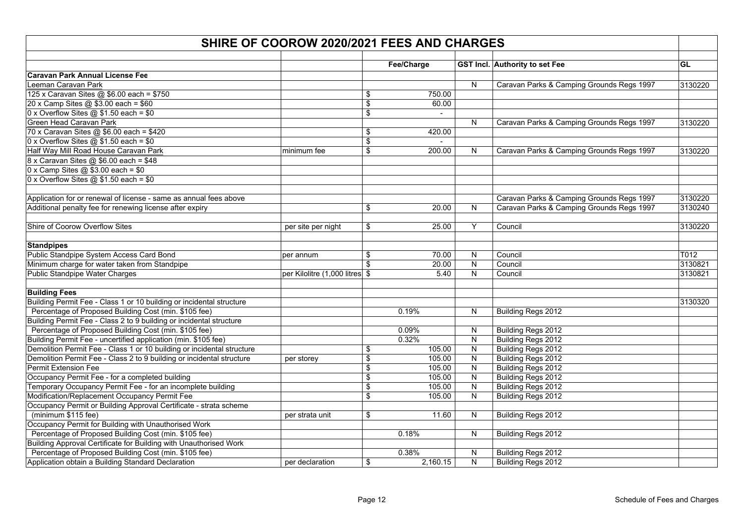| SHIRE OF COOROW 2020/2021 FEES AND CHARGES                                       |                                |                               |            |                         |                                           |           |  |  |  |
|----------------------------------------------------------------------------------|--------------------------------|-------------------------------|------------|-------------------------|-------------------------------------------|-----------|--|--|--|
|                                                                                  |                                |                               |            |                         |                                           |           |  |  |  |
|                                                                                  |                                |                               | Fee/Charge |                         | GST Incl. Authority to set Fee            | <b>GL</b> |  |  |  |
| <b>Caravan Park Annual License Fee</b>                                           |                                |                               |            |                         |                                           |           |  |  |  |
| Leeman Caravan Park<br>125 x Caravan Sites @ \$6.00 each = \$750                 |                                |                               | 750.00     | ${\sf N}$               | Caravan Parks & Camping Grounds Regs 1997 | 3130220   |  |  |  |
|                                                                                  |                                | \$                            |            |                         |                                           |           |  |  |  |
| 20 x Camp Sites @ \$3.00 each = \$60<br>0 x Overflow Sites $@$ \$1.50 each = \$0 |                                | \$<br>$\overline{\mathbf{S}}$ | 60.00      |                         |                                           |           |  |  |  |
| Green Head Caravan Park                                                          |                                |                               |            |                         | Caravan Parks & Camping Grounds Regs 1997 | 3130220   |  |  |  |
| 70 x Caravan Sites @ \$6.00 each = \$420                                         |                                | \$                            |            | ${\sf N}$               |                                           |           |  |  |  |
| $0 \times$ Overflow Sites @ \$1.50 each = \$0                                    |                                | $\overline{\mathbf{s}}$       | 420.00     |                         |                                           |           |  |  |  |
| Half Way Mill Road House Caravan Park                                            |                                |                               | 200.00     | N                       | Caravan Parks & Camping Grounds Regs 1997 | 3130220   |  |  |  |
| 8 x Caravan Sites @ \$6.00 each = \$48                                           | minimum fee                    | \$                            |            |                         |                                           |           |  |  |  |
| $0 \times$ Camp Sites @ \$3.00 each = \$0                                        |                                |                               |            |                         |                                           |           |  |  |  |
| 0 x Overflow Sites $@$ \$1.50 each = \$0                                         |                                |                               |            |                         |                                           |           |  |  |  |
|                                                                                  |                                |                               |            |                         |                                           |           |  |  |  |
| Application for or renewal of license - same as annual fees above                |                                |                               |            |                         | Caravan Parks & Camping Grounds Regs 1997 | 3130220   |  |  |  |
| Additional penalty fee for renewing license after expiry                         |                                | \$                            | 20.00      | N                       | Caravan Parks & Camping Grounds Regs 1997 | 3130240   |  |  |  |
|                                                                                  |                                |                               |            |                         |                                           |           |  |  |  |
| Shire of Coorow Overflow Sites                                                   | per site per night             | \$                            | 25.00      | Y                       | Council                                   | 3130220   |  |  |  |
| <b>Standpipes</b>                                                                |                                |                               |            |                         |                                           |           |  |  |  |
| Public Standpipe System Access Card Bond                                         | per annum                      | \$                            | 70.00      | $\mathsf{N}$            | Council                                   | T012      |  |  |  |
| Minimum charge for water taken from Standpipe                                    |                                | $\mathbf{\mathfrak{L}}$       | 20.00      | ${\sf N}$               | Council                                   | 3130821   |  |  |  |
| <b>Public Standpipe Water Charges</b>                                            | per Kilolitre (1,000 litres \$ |                               | 5.40       | $\mathsf{N}$            | Council                                   | 3130821   |  |  |  |
| <b>Building Fees</b>                                                             |                                |                               |            |                         |                                           |           |  |  |  |
| Building Permit Fee - Class 1 or 10 building or incidental structure             |                                |                               |            |                         |                                           | 3130320   |  |  |  |
| Percentage of Proposed Building Cost (min. \$105 fee)                            |                                |                               | 0.19%      | N                       | Building Regs 2012                        |           |  |  |  |
| Building Permit Fee - Class 2 to 9 building or incidental structure              |                                |                               |            |                         |                                           |           |  |  |  |
| Percentage of Proposed Building Cost (min. \$105 fee)                            |                                |                               | 0.09%      | N                       | Building Regs 2012                        |           |  |  |  |
| Building Permit Fee - uncertified application (min. \$105 fee)                   |                                |                               | 0.32%      | ${\sf N}$               | Building Regs 2012                        |           |  |  |  |
| Demolition Permit Fee - Class 1 or 10 building or incidental structure           |                                | \$                            | 105.00     | N                       | Building Regs 2012                        |           |  |  |  |
| Demolition Permit Fee - Class 2 to 9 building or incidental structure            | per storey                     | \$                            | 105.00     | N                       | Building Regs 2012                        |           |  |  |  |
| Permit Extension Fee                                                             |                                | \$                            | 105.00     | N                       | Building Regs 2012                        |           |  |  |  |
| Occupancy Permit Fee - for a completed building                                  |                                | \$                            | 105.00     | $\overline{\mathsf{N}}$ | Building Regs 2012                        |           |  |  |  |
| Temporary Occupancy Permit Fee - for an incomplete building                      |                                | \$                            | 105.00     | N                       | Building Regs 2012                        |           |  |  |  |
| Modification/Replacement Occupancy Permit Fee                                    |                                | \$                            | 105.00     | N                       | Building Regs 2012                        |           |  |  |  |
| Occupancy Permit or Building Approval Certificate - strata scheme                |                                |                               |            |                         |                                           |           |  |  |  |
| (minimum \$115 fee)                                                              | per strata unit                | \$                            | 11.60      | N                       | Building Regs 2012                        |           |  |  |  |
| Occupancy Permit for Building with Unauthorised Work                             |                                |                               |            |                         |                                           |           |  |  |  |
| Percentage of Proposed Building Cost (min. \$105 fee)                            |                                |                               | 0.18%      | N                       | Building Regs 2012                        |           |  |  |  |
| Building Approval Certificate for Building with Unauthorised Work                |                                |                               |            |                         |                                           |           |  |  |  |
| Percentage of Proposed Building Cost (min. \$105 fee)                            |                                |                               | 0.38%      | N                       | Building Regs 2012                        |           |  |  |  |
| Application obtain a Building Standard Declaration                               | per declaration                | \$                            | 2,160.15   | ${\sf N}$               | Building Regs 2012                        |           |  |  |  |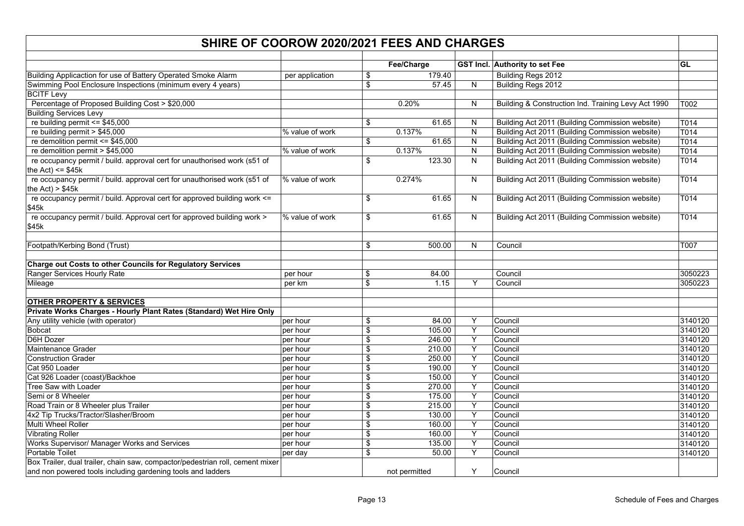| SHIRE OF COOROW 2020/2021 FEES AND CHARGES                                                       |                 |            |               |                |                                                     |         |  |  |  |  |  |
|--------------------------------------------------------------------------------------------------|-----------------|------------|---------------|----------------|-----------------------------------------------------|---------|--|--|--|--|--|
|                                                                                                  |                 |            | Fee/Charge    |                | <b>GST Incl. Authority to set Fee</b>               | GL      |  |  |  |  |  |
| Building Applicaction for use of Battery Operated Smoke Alarm                                    | per application | \$         | 179.40        |                | Building Regs 2012                                  |         |  |  |  |  |  |
| Swimming Pool Enclosure Inspections (minimum every 4 years)                                      |                 | \$         | 57.45         | N              | Building Regs 2012                                  |         |  |  |  |  |  |
| <b>BCITF Levy</b>                                                                                |                 |            |               |                |                                                     |         |  |  |  |  |  |
| Percentage of Proposed Building Cost > \$20,000                                                  |                 |            | 0.20%         | N              | Building & Construction Ind. Training Levy Act 1990 | T002    |  |  |  |  |  |
| <b>Building Services Levy</b>                                                                    |                 |            |               |                |                                                     |         |  |  |  |  |  |
| re building permit $\le$ \$45,000                                                                |                 | \$         | 61.65         | N              | Building Act 2011 (Building Commission website)     | T014    |  |  |  |  |  |
| re building permit > $$45,000$                                                                   | % value of work |            | 0.137%        | N              | Building Act 2011 (Building Commission website)     | T014    |  |  |  |  |  |
| re demolition permit <= $$45,000$                                                                |                 | \$         | 61.65         | N              | Building Act 2011 (Building Commission website)     | T014    |  |  |  |  |  |
| re demolition permit > \$45,000                                                                  | % value of work |            | 0.137%        | $\mathsf{N}$   | Building Act 2011 (Building Commission website)     | T014    |  |  |  |  |  |
| re occupancy permit / build. approval cert for unauthorised work (s51 of<br>the Act) $\le$ \$45k |                 | \$         | 123.30        | N              | Building Act 2011 (Building Commission website)     | T014    |  |  |  |  |  |
| re occupancy permit / build. approval cert for unauthorised work (s51 of<br>the Act) $> $45k$    | % value of work |            | 0.274%        | $\overline{N}$ | Building Act 2011 (Building Commission website)     | T014    |  |  |  |  |  |
| re occupancy permit / build. Approval cert for approved building work <=<br>\$45k                |                 | \$         | 61.65         | N              | Building Act 2011 (Building Commission website)     | T014    |  |  |  |  |  |
| re occupancy permit / build. Approval cert for approved building work ><br>\$45k                 | % value of work | \$         | 61.65         | N              | Building Act 2011 (Building Commission website)     | T014    |  |  |  |  |  |
| Footpath/Kerbing Bond (Trust)                                                                    |                 | \$         | 500.00        | N.             | Council                                             | T007    |  |  |  |  |  |
| Charge out Costs to other Councils for Regulatory Services                                       |                 |            |               |                |                                                     |         |  |  |  |  |  |
| Ranger Services Hourly Rate                                                                      | per hour        | \$         | 84.00         |                | Council                                             | 3050223 |  |  |  |  |  |
| Mileage                                                                                          | per km          | \$         | 1.15          | Υ              | Council                                             | 3050223 |  |  |  |  |  |
| <b>OTHER PROPERTY &amp; SERVICES</b>                                                             |                 |            |               |                |                                                     |         |  |  |  |  |  |
| Private Works Charges - Hourly Plant Rates (Standard) Wet Hire Only                              |                 |            |               |                |                                                     |         |  |  |  |  |  |
| Any utility vehicle (with operator)                                                              | per hour        | \$         | 84.00         | Υ              | Council                                             | 3140120 |  |  |  |  |  |
| <b>Bobcat</b>                                                                                    | per hour        | \$         | 105.00        | Υ              | Council                                             | 3140120 |  |  |  |  |  |
| D6H Dozer                                                                                        | per hour        | \$         | 246.00        | Υ              | Council                                             | 3140120 |  |  |  |  |  |
| <b>Maintenance Grader</b>                                                                        | per hour        | \$         | 210.00        | Y              | Council                                             | 3140120 |  |  |  |  |  |
| <b>Construction Grader</b>                                                                       | per hour        | \$         | 250.00        | Υ              | Council                                             | 3140120 |  |  |  |  |  |
| Cat 950 Loader                                                                                   | per hour        | \$         | 190.00        | Υ              | Council                                             | 3140120 |  |  |  |  |  |
| Cat 926 Loader (coast)/Backhoe                                                                   | per hour        | \$         | 150.00        | Y              | Council                                             | 3140120 |  |  |  |  |  |
| Tree Saw with Loader                                                                             | per hour        | \$         | 270.00        | Υ              | Council                                             | 3140120 |  |  |  |  |  |
| Semi or 8 Wheeler                                                                                | per hour        | \$         | 175.00        | Y              | Council                                             | 3140120 |  |  |  |  |  |
| Road Train or 8 Wheeler plus Trailer                                                             | per hour        | \$         | 215.00        | Y              | Council                                             | 3140120 |  |  |  |  |  |
| 4x2 Tip Trucks/Tractor/Slasher/Broom                                                             | per hour        | \$         | 130.00        | Υ              | Council                                             | 3140120 |  |  |  |  |  |
| Multi Wheel Roller                                                                               | per hour        | \$         | 160.00        | Y              | Council                                             | 3140120 |  |  |  |  |  |
| <b>Vibrating Roller</b>                                                                          | per hour        | \$         | 160.00        | Υ              | Council                                             | 3140120 |  |  |  |  |  |
| Works Supervisor/ Manager Works and Services                                                     | per hour        | $\sqrt{2}$ | 135.00        | Y              | Council                                             | 3140120 |  |  |  |  |  |
| <b>Portable Toilet</b>                                                                           | per day         | \$         | 50.00         | $\overline{Y}$ | Council                                             | 3140120 |  |  |  |  |  |
| Box Trailer, dual trailer, chain saw, compactor/pedestrian roll, cement mixer                    |                 |            |               |                |                                                     |         |  |  |  |  |  |
| and non powered tools including gardening tools and ladders                                      |                 |            | not permitted | Y              | Council                                             |         |  |  |  |  |  |